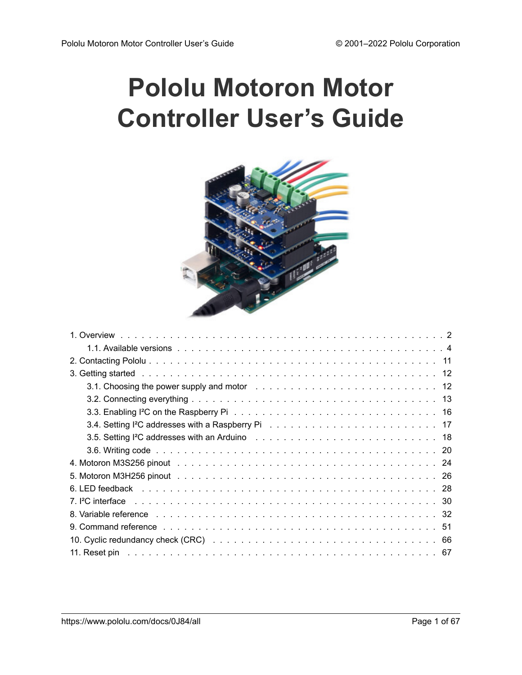# <span id="page-0-0"></span>**Pololu Motoron Motor Controller User's Guide**



| 3.1. Choosing the power supply and motor enterstanding to the control of the control of the control of the control of the control of the control of the control of the control of the control of the control of the control of            |
|-------------------------------------------------------------------------------------------------------------------------------------------------------------------------------------------------------------------------------------------|
|                                                                                                                                                                                                                                           |
| 3.3. Enabling I <sup>2</sup> C on the Raspberry Pinding Albert Albert Albert Albert Albert Albert Albert Albert Albert Albert Albert Albert Albert Albert Albert Albert Albert Albert Albert Albert Albert Albert Albert Albert Albert Al |
| 3.4. Setting I <sup>2</sup> C addresses with a Raspberry Pindent Albert Albert Albert Albert Albert Albert Albert Albert Alb                                                                                                              |
|                                                                                                                                                                                                                                           |
|                                                                                                                                                                                                                                           |
|                                                                                                                                                                                                                                           |
|                                                                                                                                                                                                                                           |
|                                                                                                                                                                                                                                           |
| 7. PC interface recovery and the contract of the contract of the contract of the contract of the contract of t                                                                                                                            |
| 8. Variable reference enterprise on the contract of the contract of the contract of the contract of the contract of the contract of the contract of the contract of the contract of the contract of the contract of the contra            |
|                                                                                                                                                                                                                                           |
|                                                                                                                                                                                                                                           |
|                                                                                                                                                                                                                                           |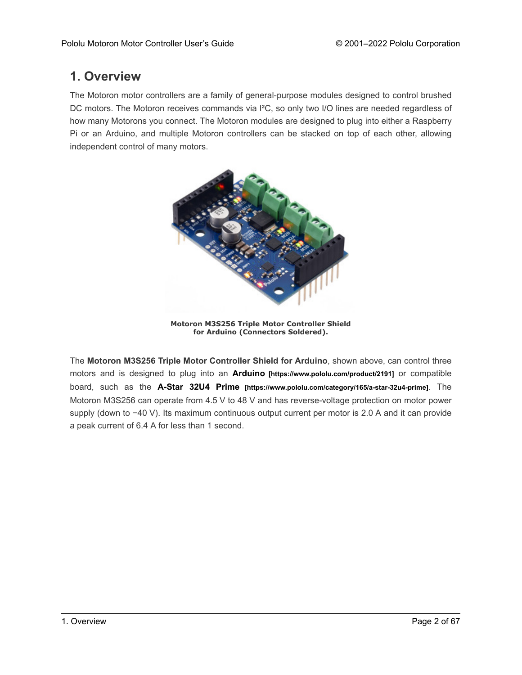# <span id="page-1-0"></span>**1. Overview**

The Motoron motor controllers are a family of general-purpose modules designed to control brushed DC motors. The Motoron receives commands via I<sup>2</sup>C, so only two I/O lines are needed regardless of how many Motorons you connect. The Motoron modules are designed to plug into either a Raspberry Pi or an Arduino, and multiple Motoron controllers can be stacked on top of each other, allowing independent control of many motors.



**Motoron M3S256 Triple Motor Controller Shield for Arduino (Connectors Soldered).**

The **Motoron M3S256 Triple Motor Controller Shield for Arduino**, shown above, can control three motors and is designed to plug into an **Arduino [\[https://www.pololu.com/product/2191\]](https://www.pololu.com/product/2191)** or compatible board, such as the **A-Star 32U4 Prime [\[https://www.pololu.com/category/165/a-star-32u4-prime\]](https://www.pololu.com/category/165/a-star-32u4-prime)**. The Motoron M3S256 can operate from 4.5 V to 48 V and has reverse-voltage protection on motor power supply (down to −40 V). Its maximum continuous output current per motor is 2.0 A and it can provide a peak current of 6.4 A for less than 1 second.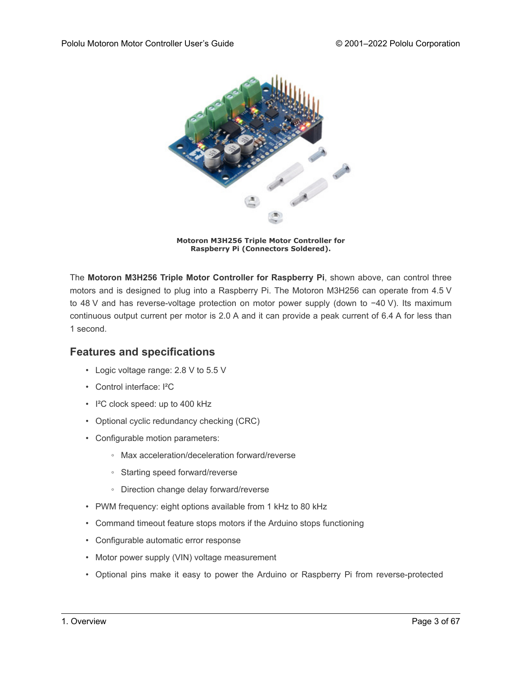

**Motoron M3H256 Triple Motor Controller for Raspberry Pi (Connectors Soldered).**

The **Motoron M3H256 Triple Motor Controller for Raspberry Pi**, shown above, can control three motors and is designed to plug into a Raspberry Pi. The Motoron M3H256 can operate from 4.5 V to 48 V and has reverse-voltage protection on motor power supply (down to −40 V). Its maximum continuous output current per motor is 2.0 A and it can provide a peak current of 6.4 A for less than 1 second.

### **Features and specifications**

- Logic voltage range: 2.8 V to 5.5 V
- Control interface: I²C
- I²C clock speed: up to 400 kHz
- Optional cyclic redundancy checking (CRC)
- Configurable motion parameters:
	- Max acceleration/deceleration forward/reverse
	- Starting speed forward/reverse
	- Direction change delay forward/reverse
- PWM frequency: eight options available from 1 kHz to 80 kHz
- Command timeout feature stops motors if the Arduino stops functioning
- Configurable automatic error response
- Motor power supply (VIN) voltage measurement
- Optional pins make it easy to power the Arduino or Raspberry Pi from reverse-protected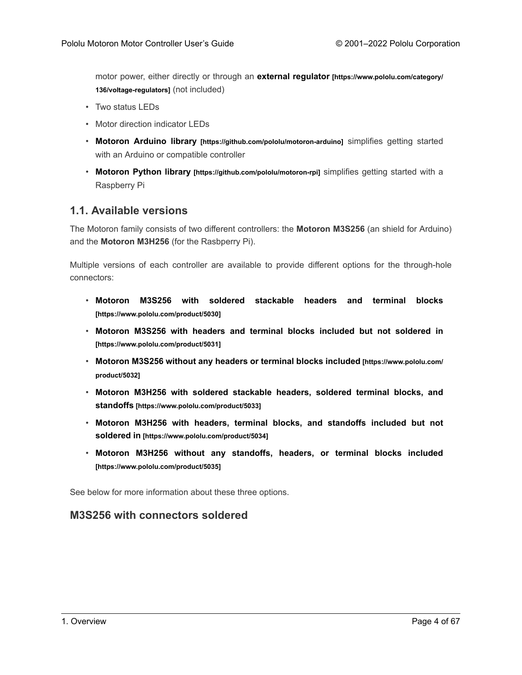motor power, either directly or through an **external regulator [\[https://www.pololu.com/category/](https://www.pololu.com/category/136/voltage-regulators) [136/voltage-regulators\]](https://www.pololu.com/category/136/voltage-regulators)** (not included)

- Two status LEDs
- Motor direction indicator LEDs
- **Motoron Arduino library [\[https://github.com/pololu/motoron-arduino\]](https://github.com/pololu/motoron-arduino)** simplifies getting started with an Arduino or compatible controller
- **Motoron Python library [\[https://github.com/pololu/motoron-rpi\]](https://github.com/pololu/motoron-rpi)** simplifies getting started with a Raspberry Pi

#### <span id="page-3-0"></span>**1.1. Available versions**

The Motoron family consists of two different controllers: the **Motoron M3S256** (an shield for Arduino) and the **Motoron M3H256** (for the Rasbperry Pi).

Multiple versions of each controller are available to provide different options for the through-hole connectors:

- **[Motoron M3S256 with soldered stackable headers and terminal blocks](https://www.pololu.com/product/5030) [\[https://www.pololu.com/product/5030\]](https://www.pololu.com/product/5030)**
- **[Motoron M3S256 with headers and terminal blocks included but not soldered in](https://www.pololu.com/product/5031) [\[https://www.pololu.com/product/5031\]](https://www.pololu.com/product/5031)**
- **[Motoron M3S256 without any headers or terminal blocks included](https://www.pololu.com/product/5032) [https://www.pololu.com/ [product/5032\]](https://www.pololu.com/product/5032)**
- **[Motoron M3H256 with soldered stackable headers, soldered terminal blocks, and](https://www.pololu.com/product/5033) standoffs [\[https://www.pololu.com/product/5033\]](https://www.pololu.com/product/5033)**
- **[Motoron M3H256 with headers, terminal blocks, and standoffs included but not](https://www.pololu.com/product/5034) soldered in [\[https://www.pololu.com/product/5034\]](https://www.pololu.com/product/5034)**
- **[Motoron M3H256 without any standoffs, headers, or terminal blocks included](https://www.pololu.com/product/5035) [\[https://www.pololu.com/product/5035\]](https://www.pololu.com/product/5035)**

See below for more information about these three options.

#### **M3S256 with connectors soldered**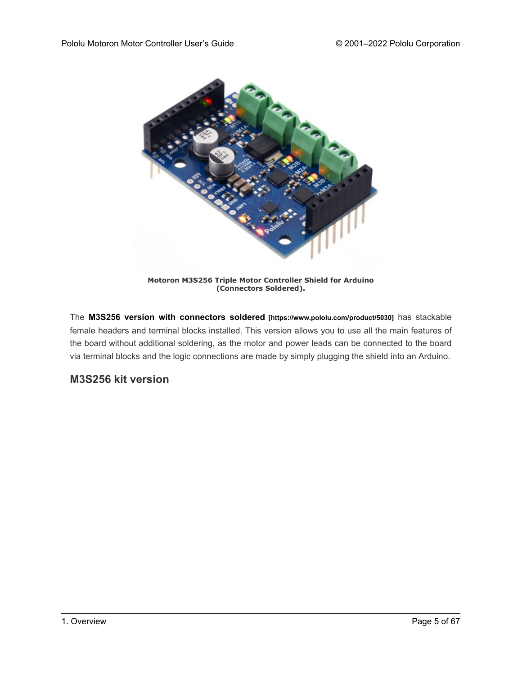

**Motoron M3S256 Triple Motor Controller Shield for Arduino (Connectors Soldered).**

The **[M3S256 version with connectors soldered](https://www.pololu.com/product/5030) [https://www.pololu.com/product/5030]** has stackable female headers and terminal blocks installed. This version allows you to use all the main features of the board without additional soldering, as the motor and power leads can be connected to the board via terminal blocks and the logic connections are made by simply plugging the shield into an Arduino.

# **M3S256 kit version**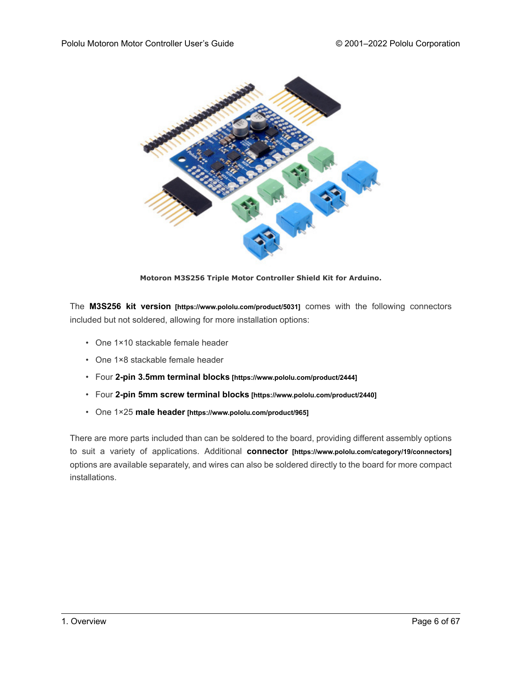

**Motoron M3S256 Triple Motor Controller Shield Kit for Arduino.**

The **M3S256 kit version [\[https://www.pololu.com/product/5031\]](https://www.pololu.com/product/5031)** comes with the following connectors included but not soldered, allowing for more installation options:

- One 1×10 stackable female header
- One 1×8 stackable female header
- Four **[2-pin 3.5mm terminal blocks](https://www.pololu.com/product/2444) [https://www.pololu.com/product/2444]**
- Four **[2-pin 5mm screw terminal blocks](https://www.pololu.com/product/2440) [https://www.pololu.com/product/2440]**
- One 1×25 **male header [\[https://www.pololu.com/product/965\]](https://www.pololu.com/product/965)**

There are more parts included than can be soldered to the board, providing different assembly options to suit a variety of applications. Additional **connector [\[https://www.pololu.com/category/19/connectors\]](https://www.pololu.com/category/19/connectors)** options are available separately, and wires can also be soldered directly to the board for more compact installations.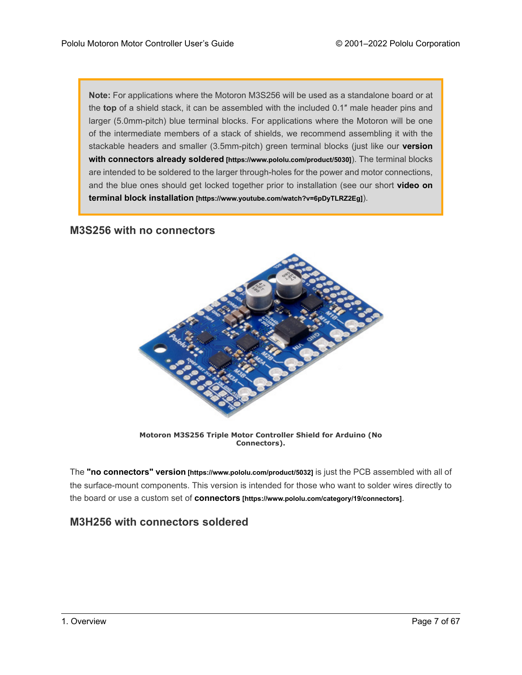**Note:** For applications where the Motoron M3S256 will be used as a standalone board or at the **top** of a shield stack, it can be assembled with the included 0.1″ male header pins and larger (5.0mm-pitch) blue terminal blocks. For applications where the Motoron will be one of the intermediate members of a stack of shields, we recommend assembling it with the stackable headers and smaller (3.5mm-pitch) green terminal blocks (just like our **[version](https://www.pololu.com/product/5030) [with connectors already soldered](https://www.pololu.com/product/5030) [https://www.pololu.com/product/5030]**). The terminal blocks are intended to be soldered to the larger through-holes for the power and motor connections, and the blue ones should get locked together prior to installation (see our short **[video on](https://www.youtube.com/watch?v=6pDyTLRZ2Eg) terminal block installation [\[https://www.youtube.com/watch?v=6pDyTLRZ2Eg\]](https://www.youtube.com/watch?v=6pDyTLRZ2Eg)**).

### **M3S256 with no connectors**



**Motoron M3S256 Triple Motor Controller Shield for Arduino (No Connectors).**

The **"no connectors" version [\[https://www.pololu.com/product/5032\]](https://www.pololu.com/product/5032)** is just the PCB assembled with all of the surface-mount components. This version is intended for those who want to solder wires directly to the board or use a custom set of **connectors [\[https://www.pololu.com/category/19/connectors\]](https://www.pololu.com/category/19/connectors)**.

#### **M3H256 with connectors soldered**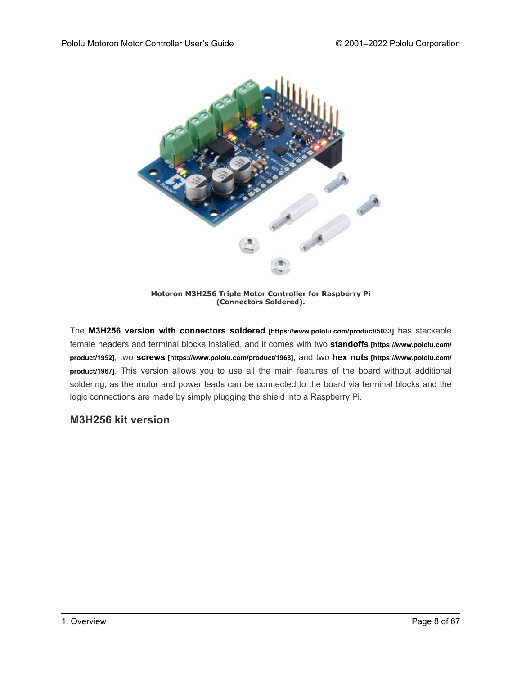

**Motoron M3H256 Triple Motor Controller for Raspberry Pi (Connectors Soldered).**

The **[M3H256 version with connectors soldered](https://www.pololu.com/product/5033) [https://www.pololu.com/product/5033]** has stackable female headers and terminal blocks installed, and it comes with two **standoffs [\[https://www.pololu.com/](https://www.pololu.com/product/1952) [product/1952\]](https://www.pololu.com/product/1952)**, two **screws [\[https://www.pololu.com/product/1968\]](https://www.pololu.com/product/1968)**, and two **hex nuts [\[https://www.pololu.com/](https://www.pololu.com/product/1967) [product/1967\]](https://www.pololu.com/product/1967)**. This version allows you to use all the main features of the board without additional soldering, as the motor and power leads can be connected to the board via terminal blocks and the logic connections are made by simply plugging the shield into a Raspberry Pi.

# **M3H256 kit version**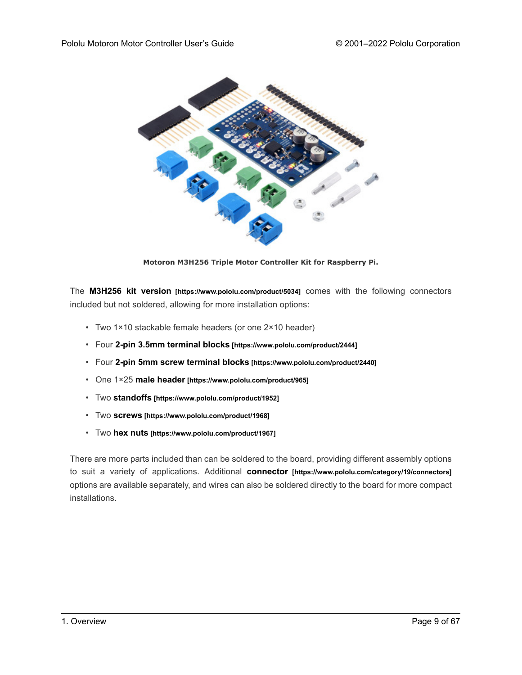

**Motoron M3H256 Triple Motor Controller Kit for Raspberry Pi.**

The **M3H256 kit version [\[https://www.pololu.com/product/5034\]](https://www.pololu.com/product/5034)** comes with the following connectors included but not soldered, allowing for more installation options:

- Two 1×10 stackable female headers (or one 2×10 header)
- Four **[2-pin 3.5mm terminal blocks](https://www.pololu.com/product/2444) [https://www.pololu.com/product/2444]**
- Four **[2-pin 5mm screw terminal blocks](https://www.pololu.com/product/2440) [https://www.pololu.com/product/2440]**
- One 1×25 **male header [\[https://www.pololu.com/product/965\]](https://www.pololu.com/product/965)**
- Two **standoffs [\[https://www.pololu.com/product/1952\]](https://www.pololu.com/product/1952)**
- Two **screws [\[https://www.pololu.com/product/1968\]](https://www.pololu.com/product/1968)**
- Two **hex nuts [\[https://www.pololu.com/product/1967\]](https://www.pololu.com/product/1967)**

There are more parts included than can be soldered to the board, providing different assembly options to suit a variety of applications. Additional **connector [\[https://www.pololu.com/category/19/connectors\]](https://www.pololu.com/category/19/connectors)** options are available separately, and wires can also be soldered directly to the board for more compact installations.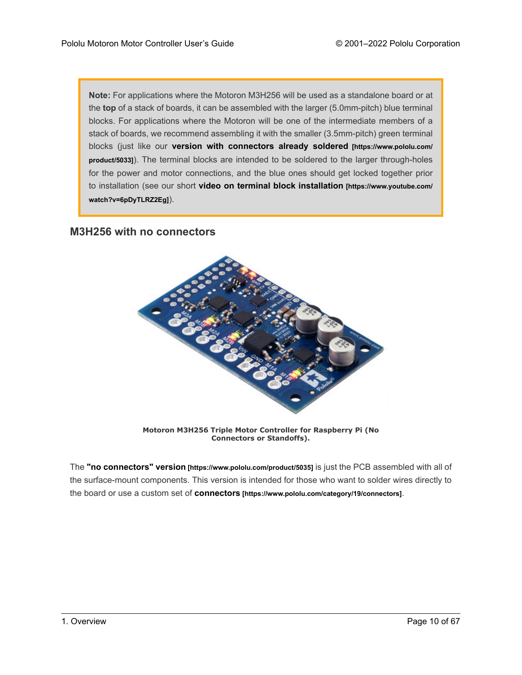**Note:** For applications where the Motoron M3H256 will be used as a standalone board or at the **top** of a stack of boards, it can be assembled with the larger (5.0mm-pitch) blue terminal blocks. For applications where the Motoron will be one of the intermediate members of a stack of boards, we recommend assembling it with the smaller (3.5mm-pitch) green terminal blocks (just like our **[version with connectors already soldered](https://www.pololu.com/product/5033) [https://www.pololu.com/ [product/5033\]](https://www.pololu.com/product/5033)**). The terminal blocks are intended to be soldered to the larger through-holes for the power and motor connections, and the blue ones should get locked together prior to installation (see our short **[video on terminal block installation](https://www.youtube.com/watch?v=6pDyTLRZ2Eg) [https://www.youtube.com/ [watch?v=6pDyTLRZ2Eg\]](https://www.youtube.com/watch?v=6pDyTLRZ2Eg)**).

### **M3H256 with no connectors**



**Motoron M3H256 Triple Motor Controller for Raspberry Pi (No Connectors or Standoffs).**

The **"no connectors" version [\[https://www.pololu.com/product/5035\]](https://www.pololu.com/product/5035)** is just the PCB assembled with all of the surface-mount components. This version is intended for those who want to solder wires directly to the board or use a custom set of **connectors [\[https://www.pololu.com/category/19/connectors\]](https://www.pololu.com/category/19/connectors)**.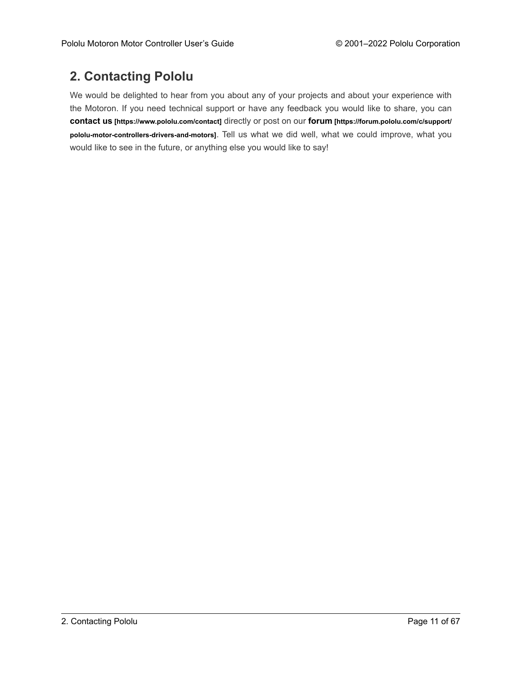# <span id="page-10-0"></span>**2. Contacting Pololu**

We would be delighted to hear from you about any of your projects and about your experience with the Motoron. If you need technical support or have any feedback you would like to share, you can **contact us [\[https://www.pololu.com/contact\]](https://www.pololu.com/contact)** directly or post on our **forum [\[https://forum.pololu.com/c/support/](https://forum.pololu.com/c/support/pololu-motor-controllers-drivers-and-motors) [pololu-motor-controllers-drivers-and-motors\]](https://forum.pololu.com/c/support/pololu-motor-controllers-drivers-and-motors)**. Tell us what we did well, what we could improve, what you would like to see in the future, or anything else you would like to say!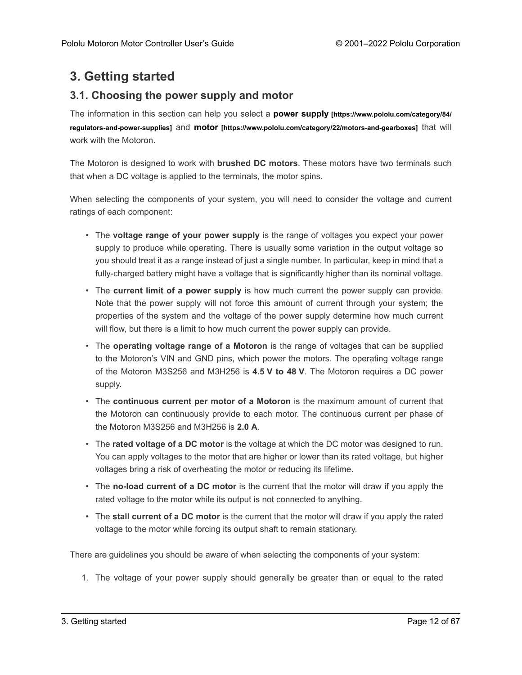# <span id="page-11-0"></span>**3. Getting started**

# <span id="page-11-1"></span>**3.1. Choosing the power supply and motor**

The information in this section can help you select a **power supply [\[https://www.pololu.com/category/84/](https://www.pololu.com/category/84/regulators-and-power-supplies) [regulators-and-power-supplies\]](https://www.pololu.com/category/84/regulators-and-power-supplies)** and **motor [\[https://www.pololu.com/category/22/motors-and-gearboxes\]](https://www.pololu.com/category/22/motors-and-gearboxes)** that will work with the Motoron.

The Motoron is designed to work with **brushed DC motors**. These motors have two terminals such that when a DC voltage is applied to the terminals, the motor spins.

When selecting the components of your system, you will need to consider the voltage and current ratings of each component:

- The **voltage range of your power supply** is the range of voltages you expect your power supply to produce while operating. There is usually some variation in the output voltage so you should treat it as a range instead of just a single number. In particular, keep in mind that a fully-charged battery might have a voltage that is significantly higher than its nominal voltage.
- The **current limit of a power supply** is how much current the power supply can provide. Note that the power supply will not force this amount of current through your system; the properties of the system and the voltage of the power supply determine how much current will flow, but there is a limit to how much current the power supply can provide.
- The **operating voltage range of a Motoron** is the range of voltages that can be supplied to the Motoron's VIN and GND pins, which power the motors. The operating voltage range of the Motoron M3S256 and M3H256 is **4.5 V to 48 V**. The Motoron requires a DC power supply.
- The **continuous current per motor of a Motoron** is the maximum amount of current that the Motoron can continuously provide to each motor. The continuous current per phase of the Motoron M3S256 and M3H256 is **2.0 A**.
- The **rated voltage of a DC motor** is the voltage at which the DC motor was designed to run. You can apply voltages to the motor that are higher or lower than its rated voltage, but higher voltages bring a risk of overheating the motor or reducing its lifetime.
- The **no-load current of a DC motor** is the current that the motor will draw if you apply the rated voltage to the motor while its output is not connected to anything.
- The **stall current of a DC motor** is the current that the motor will draw if you apply the rated voltage to the motor while forcing its output shaft to remain stationary.

There are guidelines you should be aware of when selecting the components of your system:

1. The voltage of your power supply should generally be greater than or equal to the rated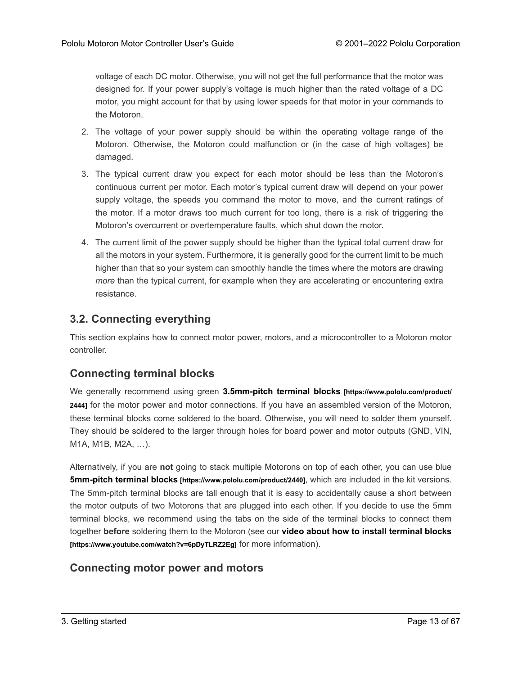voltage of each DC motor. Otherwise, you will not get the full performance that the motor was designed for. If your power supply's voltage is much higher than the rated voltage of a DC motor, you might account for that by using lower speeds for that motor in your commands to the Motoron.

- 2. The voltage of your power supply should be within the operating voltage range of the Motoron. Otherwise, the Motoron could malfunction or (in the case of high voltages) be damaged.
- 3. The typical current draw you expect for each motor should be less than the Motoron's continuous current per motor. Each motor's typical current draw will depend on your power supply voltage, the speeds you command the motor to move, and the current ratings of the motor. If a motor draws too much current for too long, there is a risk of triggering the Motoron's overcurrent or overtemperature faults, which shut down the motor.
- 4. The current limit of the power supply should be higher than the typical total current draw for all the motors in your system. Furthermore, it is generally good for the current limit to be much higher than that so your system can smoothly handle the times where the motors are drawing *more* than the typical current, for example when they are accelerating or encountering extra resistance.

# <span id="page-12-0"></span>**3.2. Connecting everything**

This section explains how to connect motor power, motors, and a microcontroller to a Motoron motor controller.

### **Connecting terminal blocks**

We generally recommend using green **[3.5mm-pitch terminal blocks](https://www.pololu.com/product/2444) [https://www.pololu.com/product/ [2444\]](https://www.pololu.com/product/2444)** for the motor power and motor connections. If you have an assembled version of the Motoron, these terminal blocks come soldered to the board. Otherwise, you will need to solder them yourself. They should be soldered to the larger through holes for board power and motor outputs (GND, VIN, M1A, M1B, M2A, …).

Alternatively, if you are **not** going to stack multiple Motorons on top of each other, you can use blue **[5mm-pitch terminal blocks](https://www.pololu.com/product/2440) [https://www.pololu.com/product/2440]**, which are included in the kit versions. The 5mm-pitch terminal blocks are tall enough that it is easy to accidentally cause a short between the motor outputs of two Motorons that are plugged into each other. If you decide to use the 5mm terminal blocks, we recommend using the tabs on the side of the terminal blocks to connect them together **before** soldering them to the Motoron (see our **[video about how to install terminal blocks](https://www.youtube.com/watch?v=6pDyTLRZ2Eg) [\[https://www.youtube.com/watch?v=6pDyTLRZ2Eg\]](https://www.youtube.com/watch?v=6pDyTLRZ2Eg)** for more information).

### **Connecting motor power and motors**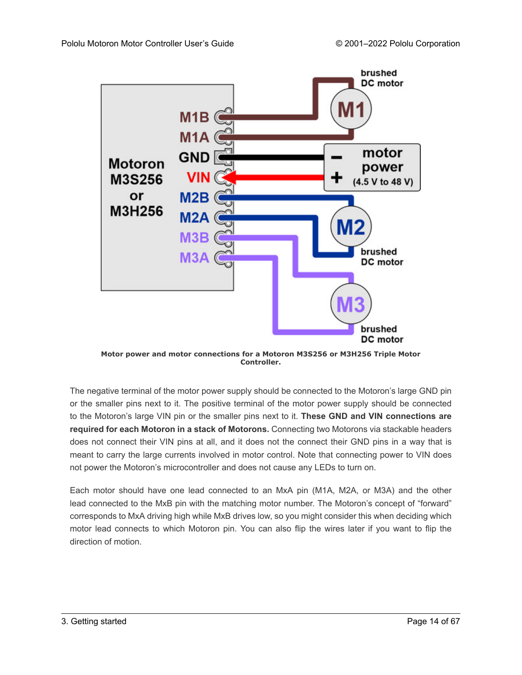

**Motor power and motor connections for a Motoron M3S256 or M3H256 Triple Motor Controller.**

The negative terminal of the motor power supply should be connected to the Motoron's large GND pin or the smaller pins next to it. The positive terminal of the motor power supply should be connected to the Motoron's large VIN pin or the smaller pins next to it. **These GND and VIN connections are required for each Motoron in a stack of Motorons.** Connecting two Motorons via stackable headers does not connect their VIN pins at all, and it does not the connect their GND pins in a way that is meant to carry the large currents involved in motor control. Note that connecting power to VIN does not power the Motoron's microcontroller and does not cause any LEDs to turn on.

Each motor should have one lead connected to an MxA pin (M1A, M2A, or M3A) and the other lead connected to the MxB pin with the matching motor number. The Motoron's concept of "forward" corresponds to MxA driving high while MxB drives low, so you might consider this when deciding which motor lead connects to which Motoron pin. You can also flip the wires later if you want to flip the direction of motion.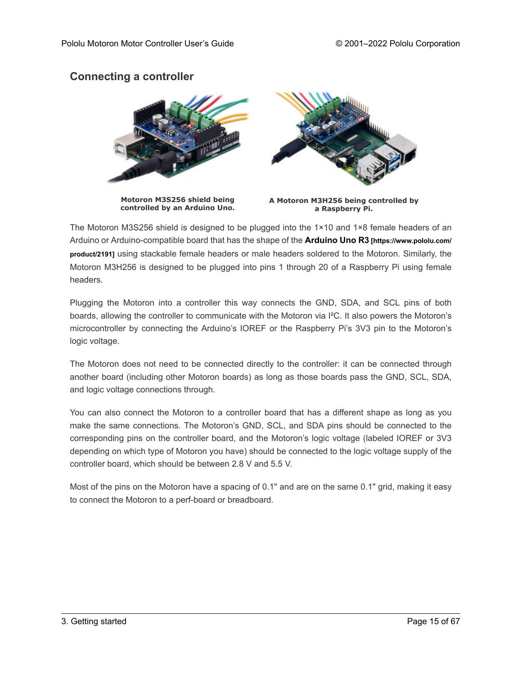# **Connecting a controller**



The Motoron M3S256 shield is designed to be plugged into the 1×10 and 1×8 female headers of an Arduino or Arduino-compatible board that has the shape of the **Arduino Uno R3[\[https://www.pololu.com/](https://www.pololu.com/product/2191) [product/2191\]](https://www.pololu.com/product/2191)** using stackable female headers or male headers soldered to the Motoron. Similarly, the Motoron M3H256 is designed to be plugged into pins 1 through 20 of a Raspberry Pi using female headers.

Plugging the Motoron into a controller this way connects the GND, SDA, and SCL pins of both boards, allowing the controller to communicate with the Motoron via I²C. It also powers the Motoron's microcontroller by connecting the Arduino's IOREF or the Raspberry Pi's 3V3 pin to the Motoron's logic voltage.

The Motoron does not need to be connected directly to the controller: it can be connected through another board (including other Motoron boards) as long as those boards pass the GND, SCL, SDA, and logic voltage connections through.

You can also connect the Motoron to a controller board that has a different shape as long as you make the same connections. The Motoron's GND, SCL, and SDA pins should be connected to the corresponding pins on the controller board, and the Motoron's logic voltage (labeled IOREF or 3V3 depending on which type of Motoron you have) should be connected to the logic voltage supply of the controller board, which should be between 2.8 V and 5.5 V.

Most of the pins on the Motoron have a spacing of 0.1" and are on the same 0.1" grid, making it easy to connect the Motoron to a perf-board or breadboard.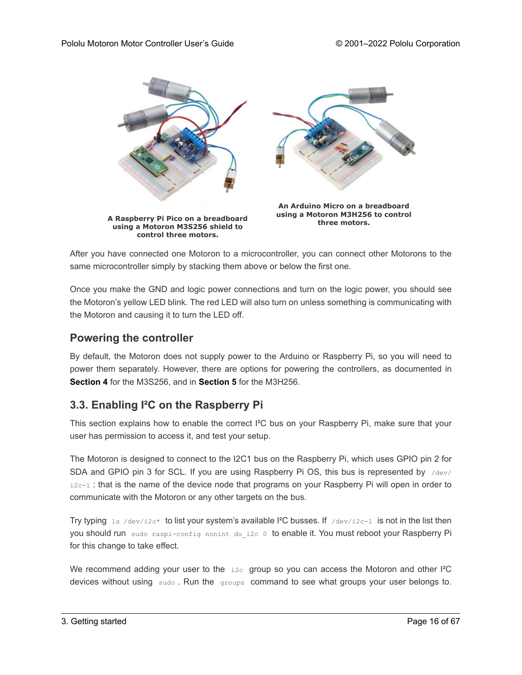

After you have connected one Motoron to a microcontroller, you can connect other Motorons to the same microcontroller simply by stacking them above or below the first one.

Once you make the GND and logic power connections and turn on the logic power, you should see the Motoron's yellow LED blink. The red LED will also turn on unless something is communicating with the Motoron and causing it to turn the LED off.

#### **Powering the controller**

By default, the Motoron does not supply power to the Arduino or Raspberry Pi, so you will need to power them separately. However, there are options for powering the controllers, as documented in **[Section 4](#page-23-0)** for the M3S256, and in **[Section 5](#page-25-0)** for the M3H256.

# <span id="page-15-0"></span>**3.3. Enabling I²C on the Raspberry Pi**

This section explains how to enable the correct I²C bus on your Raspberry Pi, make sure that your user has permission to access it, and test your setup.

The Motoron is designed to connect to the I2C1 bus on the Raspberry Pi, which uses GPIO pin 2 for SDA and GPIO pin 3 for SCL. If you are using Raspberry Pi OS, this bus is represented by  $/$ dev/  $i2c-1$ : that is the name of the device node that programs on your Raspberry Pi will open in order to communicate with the Motoron or any other targets on the bus.

Try typing  $1s$  /dev/i2c\* to list your system's available I<sup>2</sup>C busses. If /dev/i2c-1 is not in the list then you should run sudo raspi-config nonint do i2c 0 to enable it. You must reboot your Raspberry Pi for this change to take effect.

We recommend adding your user to the  $i2c$  group so you can access the Motoron and other  ${}^{12}C$ devices without using sudo. Run the groups command to see what groups your user belongs to.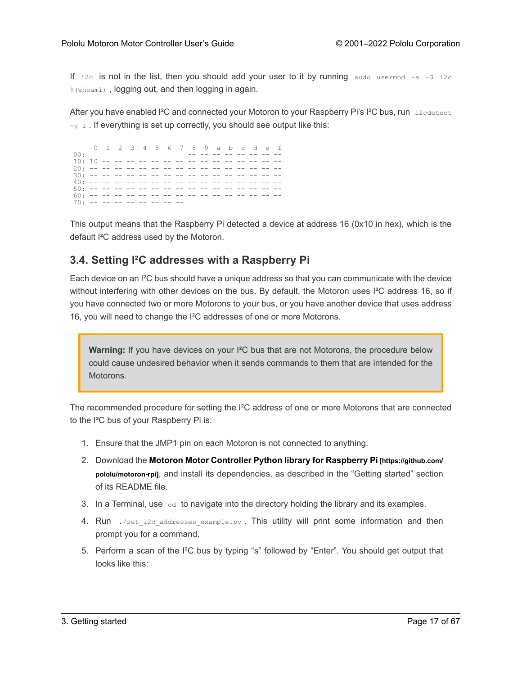If  $i2c$  is not in the list, then you should add your user to it by running sudo usermed  $-a$  -G i2c \$(whoami) , logging out, and then logging in again.

After you have enabled I<sup>2</sup>C and connected your Motoron to your Raspberry Pi's I<sup>2</sup>C bus, run i2cdetect  $-y$  1. If everything is set up correctly, you should see output like this:

0 1 2 3 4 5 6 7 8 9 a b c d e f 00: -- -- -- -- -- -- -- -- -- --10: 10 -- -- -- -- -- -- -- -- -- -- -- -- -- -- -- 20: -- -- -- -- -- -- -- -- -- -- -- -- -- -- -- -- 30: -- -- -- -- -- -- -- -- -- -- -- -- -- -- -- -- 40: -- -- -- -- -- -- -- -- -- -- -- -- -- -- -- -- 50: -- -- -- -- -- -- -- -- -- -- -- -- -- -- -- -- 60: -- -- -- -- -- -- -- -- -- -- -- -- -- -- -- --  $70: - - - - - - - - - - - - - - - - -$ 

This output means that the Raspberry Pi detected a device at address 16 (0x10 in hex), which is the default I²C address used by the Motoron.

# <span id="page-16-0"></span>**3.4. Setting I²C addresses with a Raspberry Pi**

Each device on an I²C bus should have a unique address so that you can communicate with the device without interfering with other devices on the bus. By default, the Motoron uses I<sup>2</sup>C address 16, so if you have connected two or more Motorons to your bus, or you have another device that uses address 16, you will need to change the I²C addresses of one or more Motorons.

**Warning:** If you have devices on your I²C bus that are not Motorons, the procedure below could cause undesired behavior when it sends commands to them that are intended for the Motorons.

The recommended procedure for setting the I²C address of one or more Motorons that are connected to the I²C bus of your Raspberry Pi is:

- 1. Ensure that the JMP1 pin on each Motoron is not connected to anything.
- 2. Download the **[Motoron Motor Controller Python library for Raspberry Pi](https://github.com/pololu/motoron-rpi) [https://github.com/ [pololu/motoron-rpi\]](https://github.com/pololu/motoron-rpi)**, and install its dependencies, as described in the "Getting started" section of its README file.
- 3. In a Terminal, use  $\mathcal{L}_{\text{cd}}$  to navigate into the directory holding the library and its examples.
- 4. Run  $\sqrt{s}$ et i2c addresses example.py. This utility will print some information and then prompt you for a command.
- 5. Perform a scan of the I²C bus by typing "s" followed by "Enter". You should get output that looks like this: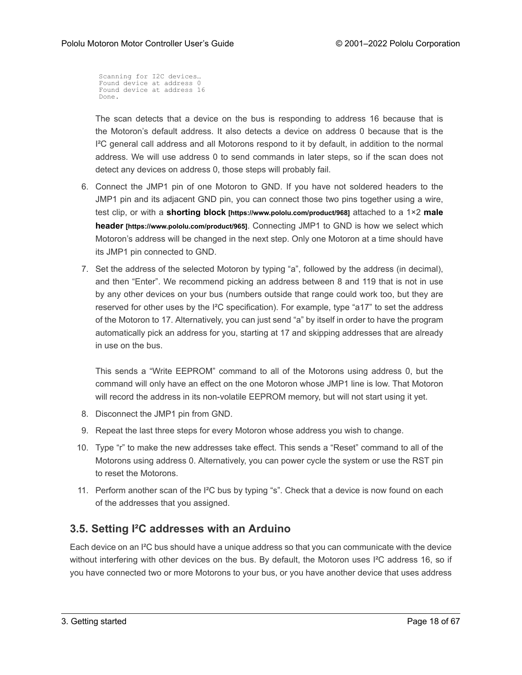Scanning for I2C devices… Found device at address 0 Found device at address 16 Done.

The scan detects that a device on the bus is responding to address 16 because that is the Motoron's default address. It also detects a device on address 0 because that is the  $I<sup>2</sup>C$  general call address and all Motorons respond to it by default, in addition to the normal address. We will use address 0 to send commands in later steps, so if the scan does not detect any devices on address 0, those steps will probably fail.

- 6. Connect the JMP1 pin of one Motoron to GND. If you have not soldered headers to the JMP1 pin and its adjacent GND pin, you can connect those two pins together using a wire, test clip, or with a **shorting block [\[https://www.pololu.com/product/968\]](https://www.pololu.com/product/968)** attached to a 1×2 **[male](https://www.pololu.com/product/965) header [\[https://www.pololu.com/product/965\]](https://www.pololu.com/product/965)**. Connecting JMP1 to GND is how we select which Motoron's address will be changed in the next step. Only one Motoron at a time should have its JMP1 pin connected to GND.
- 7. Set the address of the selected Motoron by typing "a", followed by the address (in decimal), and then "Enter". We recommend picking an address between 8 and 119 that is not in use by any other devices on your bus (numbers outside that range could work too, but they are reserved for other uses by the I²C specification). For example, type "a17" to set the address of the Motoron to 17. Alternatively, you can just send "a" by itself in order to have the program automatically pick an address for you, starting at 17 and skipping addresses that are already in use on the bus.

This sends a "Write EEPROM" command to all of the Motorons using address 0, but the command will only have an effect on the one Motoron whose JMP1 line is low. That Motoron will record the address in its non-volatile EEPROM memory, but will not start using it yet.

- 8. Disconnect the JMP1 pin from GND.
- 9. Repeat the last three steps for every Motoron whose address you wish to change.
- 10. Type "r" to make the new addresses take effect. This sends a "Reset" command to all of the Motorons using address 0. Alternatively, you can power cycle the system or use the RST pin to reset the Motorons.
- 11. Perform another scan of the I<sup>2</sup>C bus by typing "s". Check that a device is now found on each of the addresses that you assigned.

# <span id="page-17-0"></span>**3.5. Setting I²C addresses with an Arduino**

Each device on an I²C bus should have a unique address so that you can communicate with the device without interfering with other devices on the bus. By default, the Motoron uses I²C address 16, so if you have connected two or more Motorons to your bus, or you have another device that uses address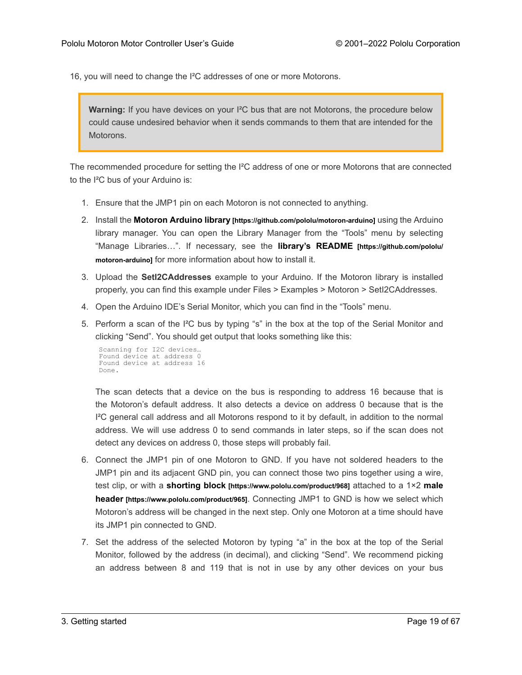16, you will need to change the I²C addresses of one or more Motorons.

**Warning:** If you have devices on your I²C bus that are not Motorons, the procedure below could cause undesired behavior when it sends commands to them that are intended for the **Motorons** 

The recommended procedure for setting the I²C address of one or more Motorons that are connected to the I²C bus of your Arduino is:

- 1. Ensure that the JMP1 pin on each Motoron is not connected to anything.
- 2. Install the **Motoron Arduino library[\[https://github.com/pololu/motoron-arduino\]](https://github.com/pololu/motoron-arduino)** using the Arduino library manager. You can open the Library Manager from the "Tools" menu by selecting "Manage Libraries…". If necessary, see the **[library's README](https://github.com/pololu/motoron-arduino) [https://github.com/pololu/ [motoron-arduino\]](https://github.com/pololu/motoron-arduino)** for more information about how to install it.
- 3. Upload the **SetI2CAddresses** example to your Arduino. If the Motoron library is installed properly, you can find this example under Files > Examples > Motoron > SetI2CAddresses.
- 4. Open the Arduino IDE's Serial Monitor, which you can find in the "Tools" menu.
- 5. Perform a scan of the I²C bus by typing "s" in the box at the top of the Serial Monitor and clicking "Send". You should get output that looks something like this:

```
Scanning for I2C devices…
Found device at address 0
Found device at address 16
Done.
```
The scan detects that a device on the bus is responding to address 16 because that is the Motoron's default address. It also detects a device on address 0 because that is the I²C general call address and all Motorons respond to it by default, in addition to the normal address. We will use address 0 to send commands in later steps, so if the scan does not detect any devices on address 0, those steps will probably fail.

- 6. Connect the JMP1 pin of one Motoron to GND. If you have not soldered headers to the JMP1 pin and its adjacent GND pin, you can connect those two pins together using a wire, test clip, or with a **shorting block [\[https://www.pololu.com/product/968\]](https://www.pololu.com/product/968)** attached to a 1×2 **[male](https://www.pololu.com/product/965) header [\[https://www.pololu.com/product/965\]](https://www.pololu.com/product/965)**. Connecting JMP1 to GND is how we select which Motoron's address will be changed in the next step. Only one Motoron at a time should have its JMP1 pin connected to GND.
- 7. Set the address of the selected Motoron by typing "a" in the box at the top of the Serial Monitor, followed by the address (in decimal), and clicking "Send". We recommend picking an address between 8 and 119 that is not in use by any other devices on your bus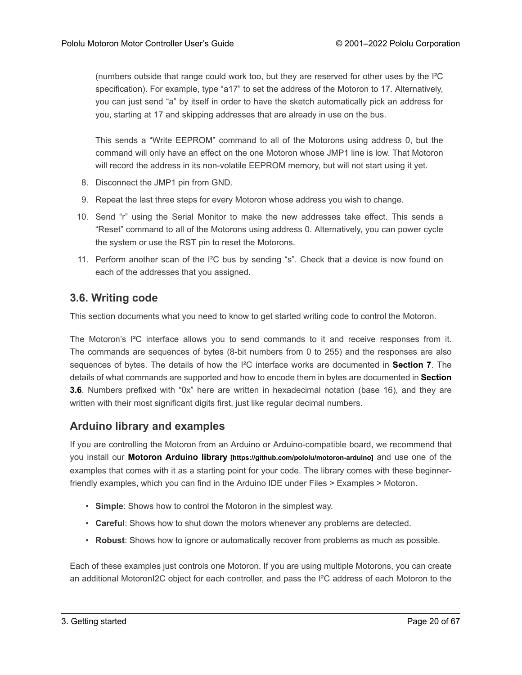(numbers outside that range could work too, but they are reserved for other uses by the I²C specification). For example, type "a17" to set the address of the Motoron to 17. Alternatively, you can just send "a" by itself in order to have the sketch automatically pick an address for you, starting at 17 and skipping addresses that are already in use on the bus.

This sends a "Write EEPROM" command to all of the Motorons using address 0, but the command will only have an effect on the one Motoron whose JMP1 line is low. That Motoron will record the address in its non-volatile EEPROM memory, but will not start using it yet.

- 8. Disconnect the JMP1 pin from GND.
- 9. Repeat the last three steps for every Motoron whose address you wish to change.
- 10. Send "r" using the Serial Monitor to make the new addresses take effect. This sends a "Reset" command to all of the Motorons using address 0. Alternatively, you can power cycle the system or use the RST pin to reset the Motorons.
- 11. Perform another scan of the  $I^2C$  bus by sending "s". Check that a device is now found on each of the addresses that you assigned.

#### <span id="page-19-0"></span>**3.6. Writing code**

This section documents what you need to know to get started writing code to control the Motoron.

The Motoron's I²C interface allows you to send commands to it and receive responses from it. The commands are sequences of bytes (8-bit numbers from 0 to 255) and the responses are also sequences of bytes. The details of how the I²C interface works are documented in **[Section 7](#page-29-0)**. The details of what commands are supported and how to encode them in bytes are documented in **[Section](#page-19-0) [3.6](#page-19-0)**. Numbers prefixed with "0x" here are written in hexadecimal notation (base 16), and they are written with their most significant digits first, just like regular decimal numbers.

### **Arduino library and examples**

If you are controlling the Motoron from an Arduino or Arduino-compatible board, we recommend that you install our **Motoron Arduino library [\[https://github.com/pololu/motoron-arduino\]](https://github.com/pololu/motoron-arduino)** and use one of the examples that comes with it as a starting point for your code. The library comes with these beginnerfriendly examples, which you can find in the Arduino IDE under Files > Examples > Motoron.

- **Simple**: Shows how to control the Motoron in the simplest way.
- **Careful**: Shows how to shut down the motors whenever any problems are detected.
- **Robust**: Shows how to ignore or automatically recover from problems as much as possible.

Each of these examples just controls one Motoron. If you are using multiple Motorons, you can create an additional MotoronI2C object for each controller, and pass the I²C address of each Motoron to the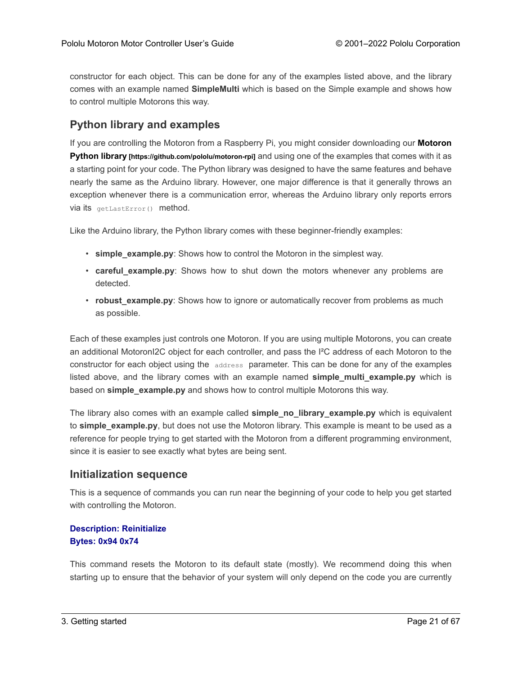constructor for each object. This can be done for any of the examples listed above, and the library comes with an example named **SimpleMulti** which is based on the Simple example and shows how to control multiple Motorons this way.

#### **Python library and examples**

If you are controlling the Motoron from a Raspberry Pi, you might consider downloading our **[Motoron](https://github.com/pololu/motoron-rpi) Python library [\[https://github.com/pololu/motoron-rpi\]](https://github.com/pololu/motoron-rpi)** and using one of the examples that comes with it as a starting point for your code. The Python library was designed to have the same features and behave nearly the same as the Arduino library. However, one major difference is that it generally throws an exception whenever there is a communication error, whereas the Arduino library only reports errors via its getLastError() method.

Like the Arduino library, the Python library comes with these beginner-friendly examples:

- **simple\_example.py**: Shows how to control the Motoron in the simplest way.
- **careful\_example.py**: Shows how to shut down the motors whenever any problems are detected.
- **robust example.py**: Shows how to ignore or automatically recover from problems as much as possible.

Each of these examples just controls one Motoron. If you are using multiple Motorons, you can create an additional MotoronI2C object for each controller, and pass the I²C address of each Motoron to the constructor for each object using the address parameter. This can be done for any of the examples listed above, and the library comes with an example named **simple multi example.py** which is based on **simple\_example.py** and shows how to control multiple Motorons this way.

The library also comes with an example called **simple no library example.py** which is equivalent to **simple\_example.py**, but does not use the Motoron library. This example is meant to be used as a reference for people trying to get started with the Motoron from a different programming environment, since it is easier to see exactly what bytes are being sent.

#### **Initialization sequence**

This is a sequence of commands you can run near the beginning of your code to help you get started with controlling the Motoron.

#### **Description: Reinitialize Bytes: 0x94 0x74**

This command resets the Motoron to its default state (mostly). We recommend doing this when starting up to ensure that the behavior of your system will only depend on the code you are currently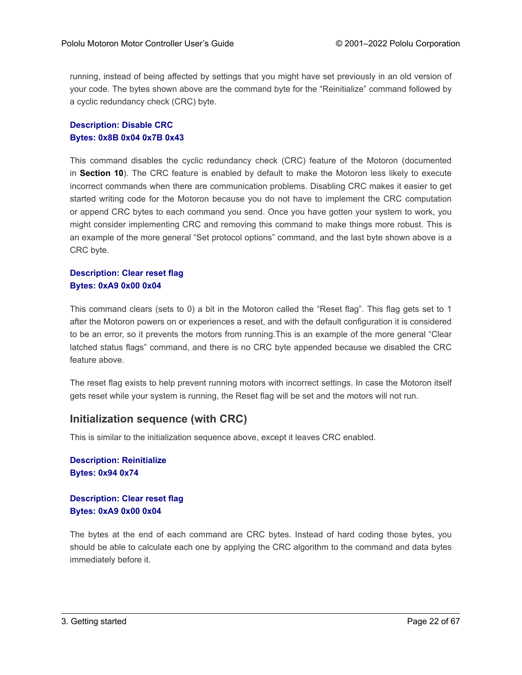running, instead of being affected by settings that you might have set previously in an old version of your code. The bytes shown above are the command byte for the "Reinitialize" command followed by a cyclic redundancy check (CRC) byte.

#### **Description: Disable CRC Bytes: 0x8B 0x04 0x7B 0x43**

This command disables the cyclic redundancy check (CRC) feature of the Motoron (documented in **[Section 10](#page-65-0)**). The CRC feature is enabled by default to make the Motoron less likely to execute incorrect commands when there are communication problems. Disabling CRC makes it easier to get started writing code for the Motoron because you do not have to implement the CRC computation or append CRC bytes to each command you send. Once you have gotten your system to work, you might consider implementing CRC and removing this command to make things more robust. This is an example of the more general "Set protocol options" command, and the last byte shown above is a CRC byte.

#### **Description: Clear reset flag Bytes: 0xA9 0x00 0x04**

This command clears (sets to 0) a bit in the Motoron called the "Reset flag". This flag gets set to 1 after the Motoron powers on or experiences a reset, and with the default configuration it is considered to be an error, so it prevents the motors from running.This is an example of the more general "Clear latched status flags" command, and there is no CRC byte appended because we disabled the CRC feature above.

The reset flag exists to help prevent running motors with incorrect settings. In case the Motoron itself gets reset while your system is running, the Reset flag will be set and the motors will not run.

### **Initialization sequence (with CRC)**

This is similar to the initialization sequence above, except it leaves CRC enabled.

**Description: Reinitialize Bytes: 0x94 0x74**

**Description: Clear reset flag Bytes: 0xA9 0x00 0x04**

The bytes at the end of each command are CRC bytes. Instead of hard coding those bytes, you should be able to calculate each one by applying the CRC algorithm to the command and data bytes immediately before it.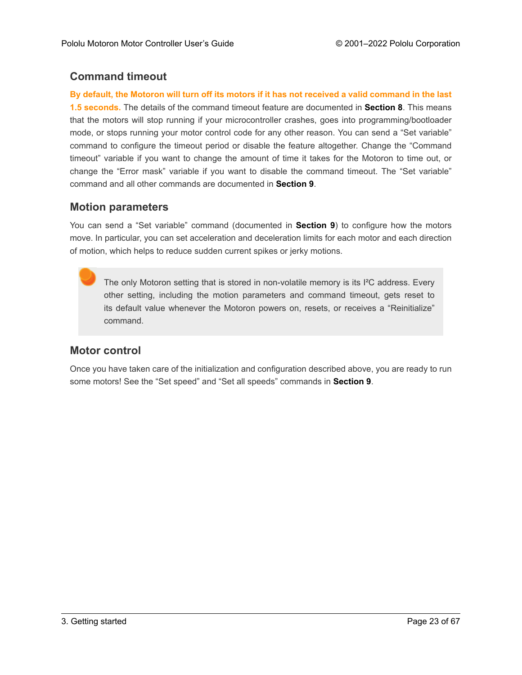# **Command timeout**

**By default, the Motoron will turn off its motors if it has not received a valid command in the last 1.5 seconds.** The details of the command timeout feature are documented in **[Section 8](#page-31-0)**. This means that the motors will stop running if your microcontroller crashes, goes into programming/bootloader mode, or stops running your motor control code for any other reason. You can send a "Set variable" command to configure the timeout period or disable the feature altogether. Change the "Command timeout" variable if you want to change the amount of time it takes for the Motoron to time out, or change the "Error mask" variable if you want to disable the command timeout. The "Set variable" command and all other commands are documented in **[Section 9](#page-50-0)**.

# **Motion parameters**

You can send a "Set variable" command (documented in **[Section 9](#page-50-0)**) to configure how the motors move. In particular, you can set acceleration and deceleration limits for each motor and each direction of motion, which helps to reduce sudden current spikes or jerky motions.

The only Motoron setting that is stored in non-volatile memory is its I<sup>2</sup>C address. Every other setting, including the motion parameters and command timeout, gets reset to its default value whenever the Motoron powers on, resets, or receives a "Reinitialize" command.

# **Motor control**

Once you have taken care of the initialization and configuration described above, you are ready to run some motors! See the "Set speed" and "Set all speeds" commands in **[Section 9](#page-50-0)**.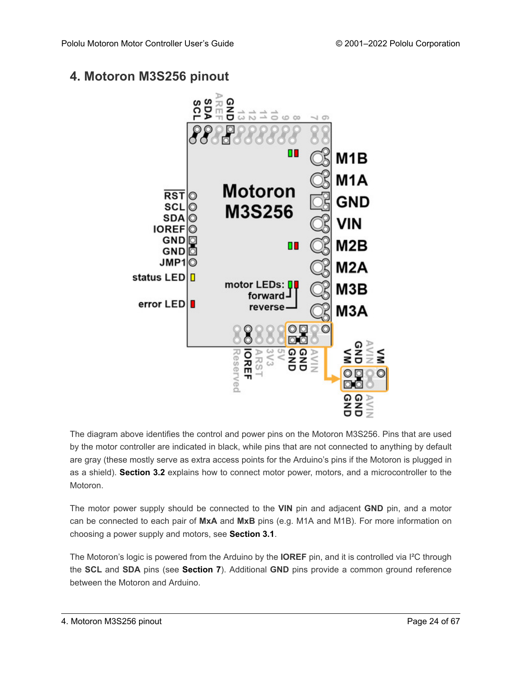# <span id="page-23-0"></span>**4. Motoron M3S256 pinout**



The diagram above identifies the control and power pins on the Motoron M3S256. Pins that are used by the motor controller are indicated in black, while pins that are not connected to anything by default are gray (these mostly serve as extra access points for the Arduino's pins if the Motoron is plugged in as a shield). **[Section 3.2](#page-12-0)** explains how to connect motor power, motors, and a microcontroller to the Motoron.

The motor power supply should be connected to the **VIN** pin and adjacent **GND** pin, and a motor can be connected to each pair of **MxA** and **MxB** pins (e.g. M1A and M1B). For more information on choosing a power supply and motors, see **[Section 3.1](#page-11-1)**.

The Motoron's logic is powered from the Arduino by the **IOREF** pin, and it is controlled via I²C through the **SCL** and **SDA** pins (see **[Section 7](#page-29-0)**). Additional **GND** pins provide a common ground reference between the Motoron and Arduino.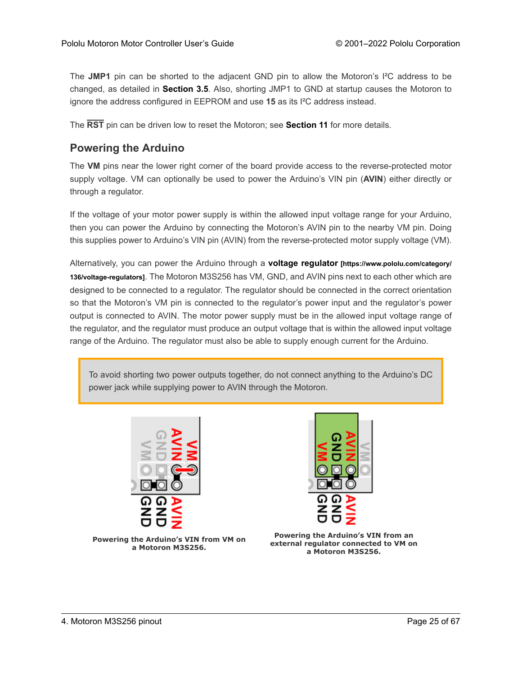The **JMP1** pin can be shorted to the adjacent GND pin to allow the Motoron's I²C address to be changed, as detailed in **[Section 3.5](#page-17-0)**. Also, shorting JMP1 to GND at startup causes the Motoron to ignore the address configured in EEPROM and use **15** as its I²C address instead.

The **RST** pin can be driven low to reset the Motoron; see **[Section 11](#page-66-0)** for more details.

### **Powering the Arduino**

The **VM** pins near the lower right corner of the board provide access to the reverse-protected motor supply voltage. VM can optionally be used to power the Arduino's VIN pin (**AVIN**) either directly or through a regulator.

If the voltage of your motor power supply is within the allowed input voltage range for your Arduino, then you can power the Arduino by connecting the Motoron's AVIN pin to the nearby VM pin. Doing this supplies power to Arduino's VIN pin (AVIN) from the reverse-protected motor supply voltage (VM).

Alternatively, you can power the Arduino through a **voltage regulator [\[https://www.pololu.com/category/](https://www.pololu.com/category/136/voltage-regulators) [136/voltage-regulators\]](https://www.pololu.com/category/136/voltage-regulators)**. The Motoron M3S256 has VM, GND, and AVIN pins next to each other which are designed to be connected to a regulator. The regulator should be connected in the correct orientation so that the Motoron's VM pin is connected to the regulator's power input and the regulator's power output is connected to AVIN. The motor power supply must be in the allowed input voltage range of the regulator, and the regulator must produce an output voltage that is within the allowed input voltage range of the Arduino. The regulator must also be able to supply enough current for the Arduino.

To avoid shorting two power outputs together, do not connect anything to the Arduino's DC power jack while supplying power to AVIN through the Motoron.





**Powering the Arduino's VIN from VM on a Motoron M3S256.**

**Powering the Arduino's VIN from an external regulator connected to VM on a Motoron M3S256.**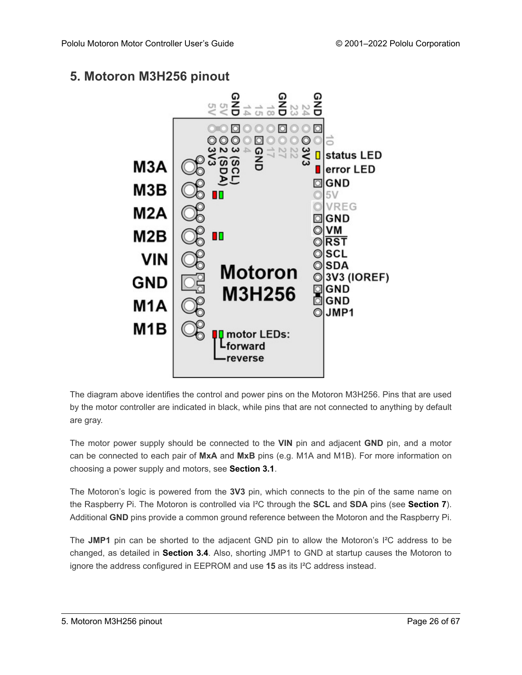# <span id="page-25-0"></span>**5. Motoron M3H256 pinout**



The diagram above identifies the control and power pins on the Motoron M3H256. Pins that are used by the motor controller are indicated in black, while pins that are not connected to anything by default are gray.

The motor power supply should be connected to the **VIN** pin and adjacent **GND** pin, and a motor can be connected to each pair of **MxA** and **MxB** pins (e.g. M1A and M1B). For more information on choosing a power supply and motors, see **[Section 3.1](#page-11-1)**.

The Motoron's logic is powered from the **3V3** pin, which connects to the pin of the same name on the Raspberry Pi. The Motoron is controlled via I²C through the **SCL** and **SDA** pins (see **[Section 7](#page-29-0)**). Additional **GND** pins provide a common ground reference between the Motoron and the Raspberry Pi.

The **JMP1** pin can be shorted to the adjacent GND pin to allow the Motoron's I²C address to be changed, as detailed in **[Section 3.4](#page-16-0)**. Also, shorting JMP1 to GND at startup causes the Motoron to ignore the address configured in EEPROM and use **15** as its I²C address instead.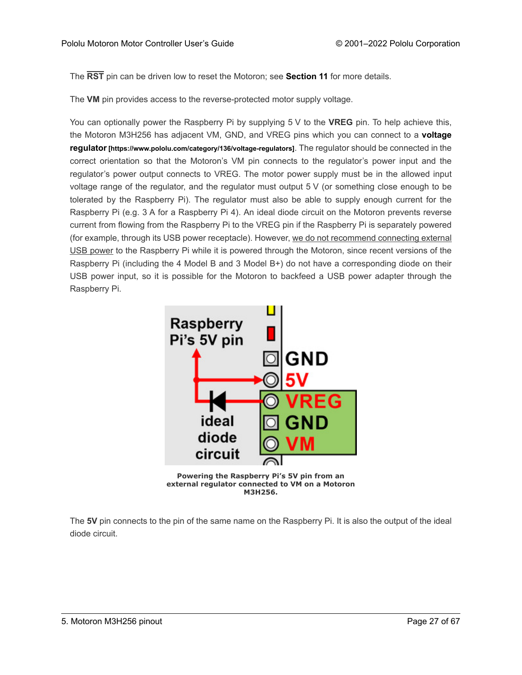The **RST** pin can be driven low to reset the Motoron; see **[Section 11](#page-66-0)** for more details.

The **VM** pin provides access to the reverse-protected motor supply voltage.

You can optionally power the Raspberry Pi by supplying 5 V to the **VREG** pin. To help achieve this, the Motoron M3H256 has adjacent VM, GND, and VREG pins which you can connect to a **[voltage](https://www.pololu.com/category/136/voltage-regulators) regulator[\[https://www.pololu.com/category/136/voltage-regulators\]](https://www.pololu.com/category/136/voltage-regulators)**. The regulator should be connected in the correct orientation so that the Motoron's VM pin connects to the regulator's power input and the regulator's power output connects to VREG. The motor power supply must be in the allowed input voltage range of the regulator, and the regulator must output 5 V (or something close enough to be tolerated by the Raspberry Pi). The regulator must also be able to supply enough current for the Raspberry Pi (e.g. 3 A for a Raspberry Pi 4). An ideal diode circuit on the Motoron prevents reverse current from flowing from the Raspberry Pi to the VREG pin if the Raspberry Pi is separately powered (for example, through its USB power receptacle). However, we do not recommend connecting external USB power to the Raspberry Pi while it is powered through the Motoron, since recent versions of the Raspberry Pi (including the 4 Model B and 3 Model B+) do not have a corresponding diode on their USB power input, so it is possible for the Motoron to backfeed a USB power adapter through the Raspberry Pi.



**M3H256.**

The **5V** pin connects to the pin of the same name on the Raspberry Pi. It is also the output of the ideal diode circuit.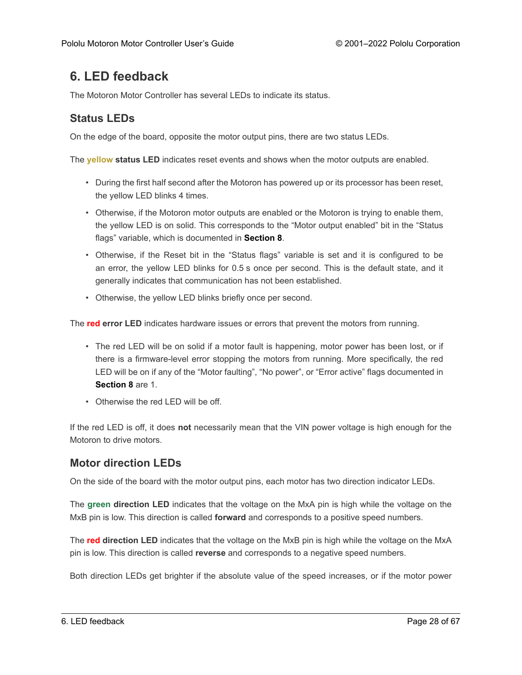# <span id="page-27-0"></span>**6. LED feedback**

The Motoron Motor Controller has several LEDs to indicate its status.

# **Status LEDs**

On the edge of the board, opposite the motor output pins, there are two status LEDs.

The **yellow status LED** indicates reset events and shows when the motor outputs are enabled.

- During the first half second after the Motoron has powered up or its processor has been reset, the yellow LED blinks 4 times.
- Otherwise, if the Motoron motor outputs are enabled or the Motoron is trying to enable them, the yellow LED is on solid. This corresponds to the "Motor output enabled" bit in the "Status flags" variable, which is documented in **[Section 8](#page-31-0)**.
- Otherwise, if the Reset bit in the "Status flags" variable is set and it is configured to be an error, the yellow LED blinks for 0.5 s once per second. This is the default state, and it generally indicates that communication has not been established.
- Otherwise, the yellow LED blinks briefly once per second.

The **red error LED** indicates hardware issues or errors that prevent the motors from running.

- The red LED will be on solid if a motor fault is happening, motor power has been lost, or if there is a firmware-level error stopping the motors from running. More specifically, the red LED will be on if any of the "Motor faulting", "No power", or "Error active" flags documented in **[Section 8](#page-31-0)** are 1.
- Otherwise the red LED will be off

If the red LED is off, it does **not** necessarily mean that the VIN power voltage is high enough for the Motoron to drive motors.

# **Motor direction LEDs**

On the side of the board with the motor output pins, each motor has two direction indicator LEDs.

The **green direction LED** indicates that the voltage on the MxA pin is high while the voltage on the MxB pin is low. This direction is called **forward** and corresponds to a positive speed numbers.

The **red direction LED** indicates that the voltage on the MxB pin is high while the voltage on the MxA pin is low. This direction is called **reverse** and corresponds to a negative speed numbers.

Both direction LEDs get brighter if the absolute value of the speed increases, or if the motor power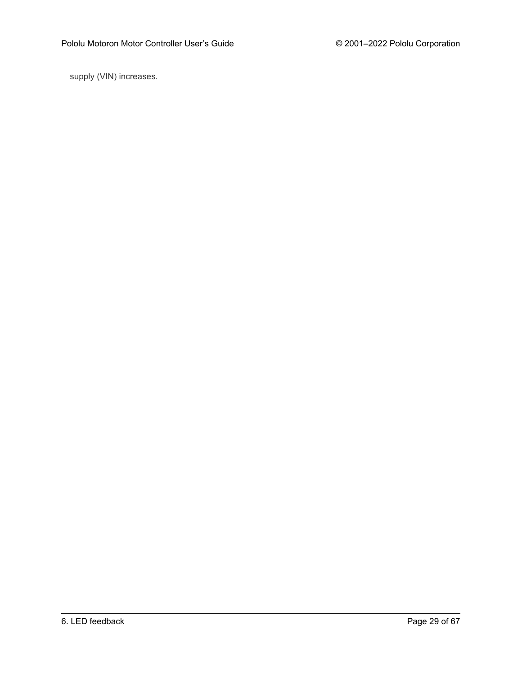supply (VIN) increases.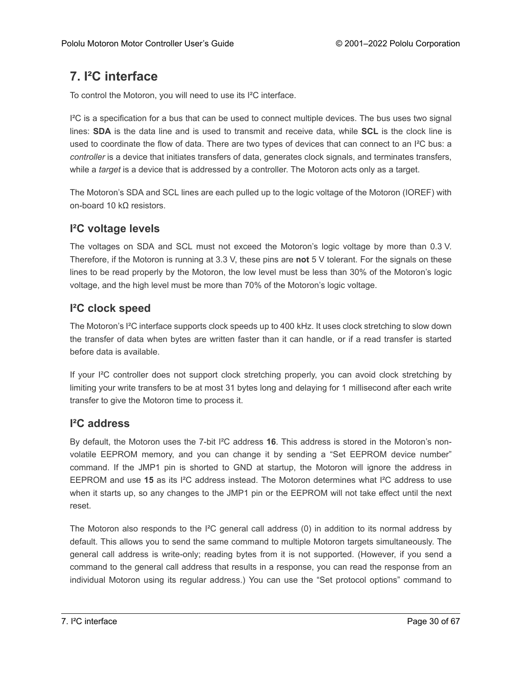# <span id="page-29-0"></span>**7. I²C interface**

To control the Motoron, you will need to use its I²C interface.

 $I<sup>2</sup>C$  is a specification for a bus that can be used to connect multiple devices. The bus uses two signal lines: **SDA** is the data line and is used to transmit and receive data, while **SCL** is the clock line is used to coordinate the flow of data. There are two types of devices that can connect to an I²C bus: a *controller* is a device that initiates transfers of data, generates clock signals, and terminates transfers, while a *target* is a device that is addressed by a controller. The Motoron acts only as a target.

The Motoron's SDA and SCL lines are each pulled up to the logic voltage of the Motoron (IOREF) with on-board 10 kΩ resistors.

# **I²C voltage levels**

The voltages on SDA and SCL must not exceed the Motoron's logic voltage by more than 0.3 V. Therefore, if the Motoron is running at 3.3 V, these pins are **not** 5 V tolerant. For the signals on these lines to be read properly by the Motoron, the low level must be less than 30% of the Motoron's logic voltage, and the high level must be more than 70% of the Motoron's logic voltage.

# **I²C clock speed**

The Motoron's I²C interface supports clock speeds up to 400 kHz. It uses clock stretching to slow down the transfer of data when bytes are written faster than it can handle, or if a read transfer is started before data is available.

If your I<sup>2</sup>C controller does not support clock stretching properly, you can avoid clock stretching by limiting your write transfers to be at most 31 bytes long and delaying for 1 millisecond after each write transfer to give the Motoron time to process it.

### **I²C address**

By default, the Motoron uses the 7-bit I²C address **16**. This address is stored in the Motoron's nonvolatile EEPROM memory, and you can change it by sending a "Set EEPROM device number" command. If the JMP1 pin is shorted to GND at startup, the Motoron will ignore the address in EEPROM and use **15** as its I²C address instead. The Motoron determines what I²C address to use when it starts up, so any changes to the JMP1 pin or the EEPROM will not take effect until the next reset.

The Motoron also responds to the I<sup>2</sup>C general call address  $(0)$  in addition to its normal address by default. This allows you to send the same command to multiple Motoron targets simultaneously. The general call address is write-only; reading bytes from it is not supported. (However, if you send a command to the general call address that results in a response, you can read the response from an individual Motoron using its regular address.) You can use the "Set protocol options" command to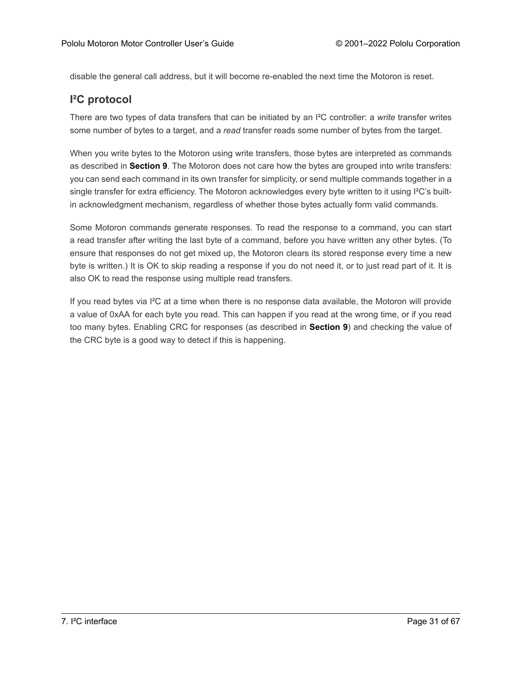disable the general call address, but it will become re-enabled the next time the Motoron is reset.

# **I²C protocol**

There are two types of data transfers that can be initiated by an I²C controller: a *write* transfer writes some number of bytes to a target, and a *read* transfer reads some number of bytes from the target.

When you write bytes to the Motoron using write transfers, those bytes are interpreted as commands as described in **[Section 9](#page-50-0)**. The Motoron does not care how the bytes are grouped into write transfers: you can send each command in its own transfer for simplicity, or send multiple commands together in a single transfer for extra efficiency. The Motoron acknowledges every byte written to it using I<sup>2</sup>C's builtin acknowledgment mechanism, regardless of whether those bytes actually form valid commands.

Some Motoron commands generate responses. To read the response to a command, you can start a read transfer after writing the last byte of a command, before you have written any other bytes. (To ensure that responses do not get mixed up, the Motoron clears its stored response every time a new byte is written.) It is OK to skip reading a response if you do not need it, or to just read part of it. It is also OK to read the response using multiple read transfers.

If you read bytes via I²C at a time when there is no response data available, the Motoron will provide a value of 0xAA for each byte you read. This can happen if you read at the wrong time, or if you read too many bytes. Enabling CRC for responses (as described in **[Section 9](#page-50-0)**) and checking the value of the CRC byte is a good way to detect if this is happening.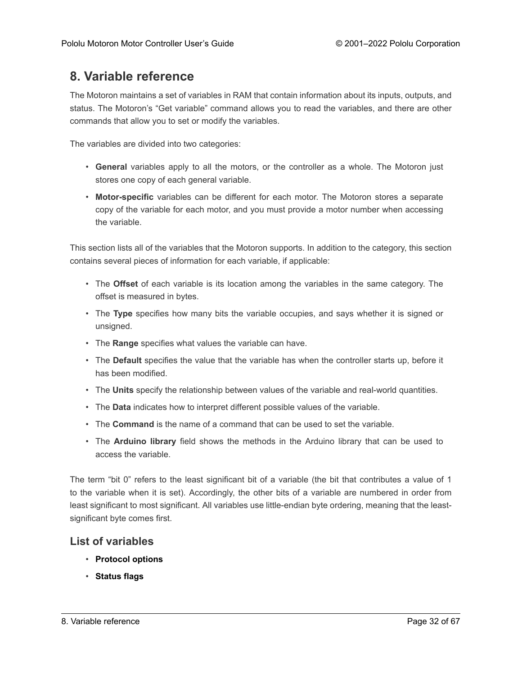# <span id="page-31-0"></span>**8. Variable reference**

The Motoron maintains a set of variables in RAM that contain information about its inputs, outputs, and status. The Motoron's "Get variable" command allows you to read the variables, and there are other commands that allow you to set or modify the variables.

The variables are divided into two categories:

- **General** variables apply to all the motors, or the controller as a whole. The Motoron just stores one copy of each general variable.
- **Motor-specific** variables can be different for each motor. The Motoron stores a separate copy of the variable for each motor, and you must provide a motor number when accessing the variable.

This section lists all of the variables that the Motoron supports. In addition to the category, this section contains several pieces of information for each variable, if applicable:

- The **Offset** of each variable is its location among the variables in the same category. The offset is measured in bytes.
- The **Type** specifies how many bits the variable occupies, and says whether it is signed or unsigned.
- The **Range** specifies what values the variable can have.
- The **Default** specifies the value that the variable has when the controller starts up, before it has been modified.
- The **Units** specify the relationship between values of the variable and real-world quantities.
- The **Data** indicates how to interpret different possible values of the variable.
- The **Command** is the name of a command that can be used to set the variable.
- The **Arduino library** field shows the methods in the Arduino library that can be used to access the variable.

The term "bit 0" refers to the least significant bit of a variable (the bit that contributes a value of 1 to the variable when it is set). Accordingly, the other bits of a variable are numbered in order from least significant to most significant. All variables use little-endian byte ordering, meaning that the leastsignificant byte comes first.

#### **List of variables**

- **[Protocol options](#page-33-0)**
- **[Status flags](#page-34-0)**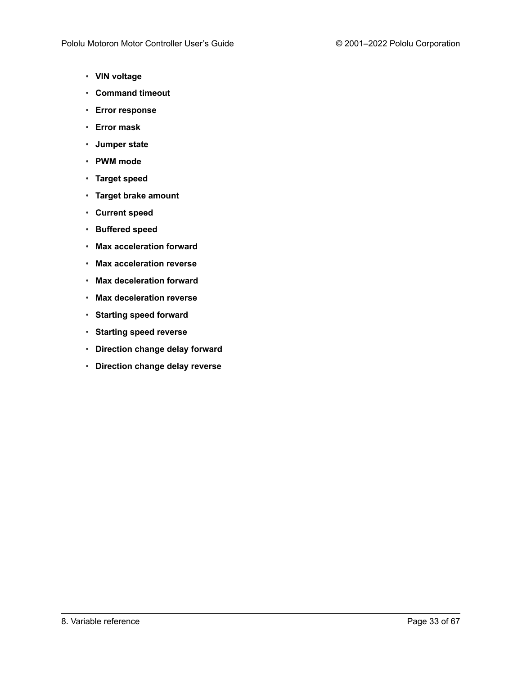- **[VIN voltage](#page-36-0)**
- **[Command timeout](#page-37-0)**
- **[Error response](#page-38-0)**
- **[Error mask](#page-39-0)**
- **[Jumper state](#page-39-1)**
- **[PWM mode](#page-40-0)**
- **[Target speed](#page-41-0)**
- **[Target brake amount](#page-42-0)**
- **[Current speed](#page-43-0)**
- **[Buffered speed](#page-44-0)**
- **[Max acceleration forward](#page-45-0)**
- **[Max acceleration reverse](#page-46-0)**
- **[Max deceleration forward](#page-46-1)**
- **[Max deceleration reverse](#page-47-0)**
- **[Starting speed forward](#page-47-1)**
- **[Starting speed reverse](#page-48-0)**
- **[Direction change delay forward](#page-48-1)**
- **[Direction change delay reverse](#page-49-0)**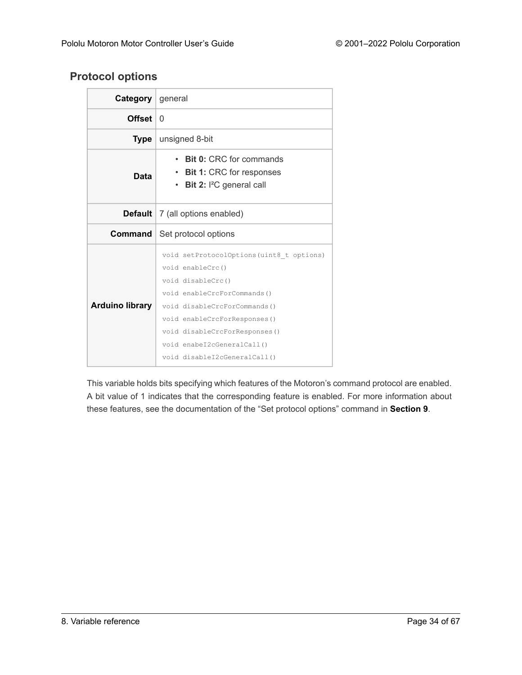# <span id="page-33-0"></span>**Protocol options**

| <b>Category</b> general |                                                                                                                                                                                                                   |
|-------------------------|-------------------------------------------------------------------------------------------------------------------------------------------------------------------------------------------------------------------|
| <b>Offset</b>           | 0                                                                                                                                                                                                                 |
| Type                    | unsigned 8-bit                                                                                                                                                                                                    |
| Data                    | Bit 0: CRC for commands<br><b>Bit 1: CRC for responses</b><br>$\bullet$<br><b>Bit 2: I<sup>2</sup>C</b> general call<br>$\bullet$                                                                                 |
|                         | <b>Default</b>   7 (all options enabled)                                                                                                                                                                          |
| Command                 | Set protocol options                                                                                                                                                                                              |
| <b>Arduino library</b>  | void setProtocolOptions(uint8_t options)<br>void enableCrc()<br>void disableCrc()<br>void enableCrcForCommands()<br>void disableCrcForCommands()<br>void enableCrcForResponses()<br>void disableCrcForResponses() |

This variable holds bits specifying which features of the Motoron's command protocol are enabled. A bit value of 1 indicates that the corresponding feature is enabled. For more information about these features, see the documentation of the "Set protocol options" command in **[Section 9](#page-50-0)**.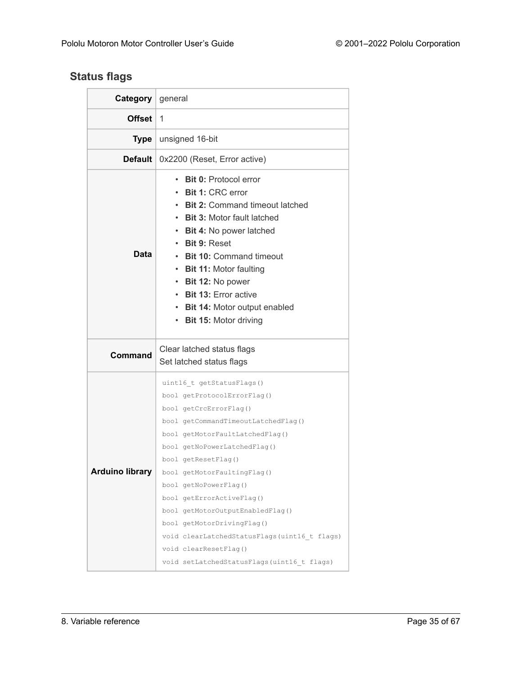# <span id="page-34-0"></span>**Status flags**

| <b>Category</b> general |                                                                                                                                                                                                                                                                                                                                                                                                                                                                                                   |
|-------------------------|---------------------------------------------------------------------------------------------------------------------------------------------------------------------------------------------------------------------------------------------------------------------------------------------------------------------------------------------------------------------------------------------------------------------------------------------------------------------------------------------------|
| <b>Offset</b>           | 1                                                                                                                                                                                                                                                                                                                                                                                                                                                                                                 |
| Type                    | unsigned 16-bit                                                                                                                                                                                                                                                                                                                                                                                                                                                                                   |
| <b>Default</b>          | 0x2200 (Reset, Error active)                                                                                                                                                                                                                                                                                                                                                                                                                                                                      |
| Data                    | <b>Bit 0: Protocol error</b><br><b>Bit 1: CRC error</b><br><b>Bit 2: Command timeout latched</b><br><b>Bit 3: Motor fault latched</b><br><b>Bit 4: No power latched</b><br><b>Bit 9: Reset</b><br><b>Bit 10: Command timeout</b><br><b>Bit 11: Motor faulting</b><br>$\bullet$<br>Bit 12: No power<br>$\bullet$<br><b>Bit 13: Error active</b><br>$\bullet$<br>• Bit 14: Motor output enabled<br>• Bit 15: Motor driving                                                                          |
| <b>Command</b>          | Clear latched status flags<br>Set latched status flags                                                                                                                                                                                                                                                                                                                                                                                                                                            |
| <b>Arduino library</b>  | uint16 t getStatusFlags()<br>bool getProtocolErrorFlag()<br>bool getCrcErrorFlag()<br>bool getCommandTimeoutLatchedFlag()<br>bool getMotorFaultLatchedFlag()<br>bool getNoPowerLatchedFlag()<br>bool getResetFlag()<br>bool getMotorFaultingFlag()<br>bool getNoPowerFlag()<br>bool getErrorActiveFlag()<br>bool getMotorOutputEnabledFlag()<br>bool getMotorDrivingFlag()<br>void clearLatchedStatusFlags(uint16 t flags)<br>void clearResetFlag()<br>void setLatchedStatusFlags(uint16 t flags) |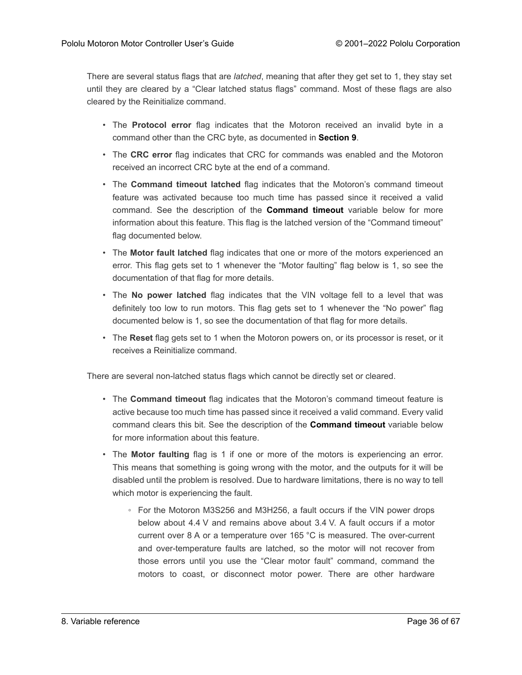There are several status flags that are *latched*, meaning that after they get set to 1, they stay set until they are cleared by a "Clear latched status flags" command. Most of these flags are also cleared by the Reinitialize command.

- The **Protocol error** flag indicates that the Motoron received an invalid byte in a command other than the CRC byte, as documented in **[Section 9](#page-50-0)**.
- The **CRC error** flag indicates that CRC for commands was enabled and the Motoron received an incorrect CRC byte at the end of a command.
- The **Command timeout latched** flag indicates that the Motoron's command timeout feature was activated because too much time has passed since it received a valid command. See the description of the **[Command timeout](#page-37-0)** variable below for more information about this feature. This flag is the latched version of the "Command timeout" flag documented below.
- The **Motor fault latched** flag indicates that one or more of the motors experienced an error. This flag gets set to 1 whenever the "Motor faulting" flag below is 1, so see the documentation of that flag for more details.
- The **No power latched** flag indicates that the VIN voltage fell to a level that was definitely too low to run motors. This flag gets set to 1 whenever the "No power" flag documented below is 1, so see the documentation of that flag for more details.
- The **Reset** flag gets set to 1 when the Motoron powers on, or its processor is reset, or it receives a Reinitialize command.

There are several non-latched status flags which cannot be directly set or cleared.

- The **Command timeout** flag indicates that the Motoron's command timeout feature is active because too much time has passed since it received a valid command. Every valid command clears this bit. See the description of the **[Command timeout](#page-37-0)** variable below for more information about this feature.
- The **Motor faulting** flag is 1 if one or more of the motors is experiencing an error. This means that something is going wrong with the motor, and the outputs for it will be disabled until the problem is resolved. Due to hardware limitations, there is no way to tell which motor is experiencing the fault.
	- For the Motoron M3S256 and M3H256, a fault occurs if the VIN power drops below about 4.4 V and remains above about 3.4 V. A fault occurs if a motor current over 8 A or a temperature over 165 °C is measured. The over-current and over-temperature faults are latched, so the motor will not recover from those errors until you use the "Clear motor fault" command, command the motors to coast, or disconnect motor power. There are other hardware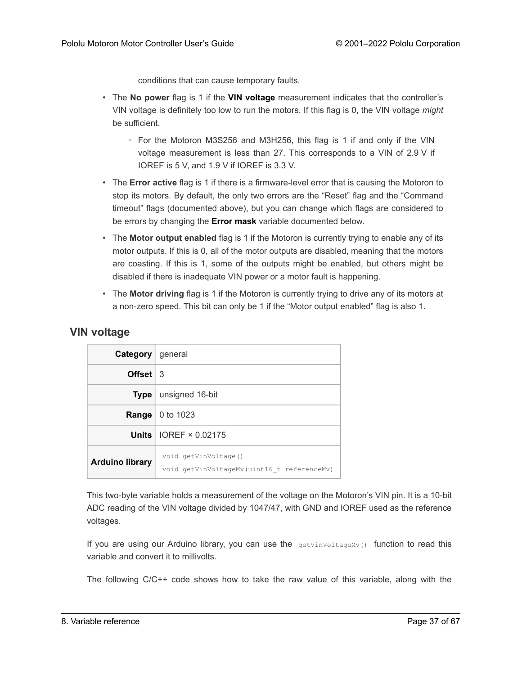conditions that can cause temporary faults.

- The **No power** flag is 1 if the **[VIN voltage](#page-36-0)** measurement indicates that the controller's VIN voltage is definitely too low to run the motors. If this flag is 0, the VIN voltage *might* be sufficient.
	- For the Motoron M3S256 and M3H256, this flag is 1 if and only if the VIN voltage measurement is less than 27. This corresponds to a VIN of 2.9 V if IOREF is 5 V, and 1.9 V if IOREF is 3.3 V.
- The **Error active** flag is 1 if there is a firmware-level error that is causing the Motoron to stop its motors. By default, the only two errors are the "Reset" flag and the "Command timeout" flags (documented above), but you can change which flags are considered to be errors by changing the **[Error mask](#page-39-0)** variable documented below.
- The **Motor output enabled** flag is 1 if the Motoron is currently trying to enable any of its motor outputs. If this is 0, all of the motor outputs are disabled, meaning that the motors are coasting. If this is 1, some of the outputs might be enabled, but others might be disabled if there is inadequate VIN power or a motor fault is happening.
- The **Motor driving** flag is 1 if the Motoron is currently trying to drive any of its motors at a non-zero speed. This bit can only be 1 if the "Motor output enabled" flag is also 1.

#### <span id="page-36-0"></span>**VIN voltage**

| <b>Category</b> general |                                                                    |
|-------------------------|--------------------------------------------------------------------|
| Offset $\vert$ 3        |                                                                    |
| <b>Type</b>             | unsigned 16-bit                                                    |
| Range                   | 0 to 1023                                                          |
|                         | Units $\vert$ IOREF $\times$ 0.02175                               |
| <b>Arduino library</b>  | void getVinVoltage()<br>void getVinVoltageMv(uint16 t referenceMv) |

This two-byte variable holds a measurement of the voltage on the Motoron's VIN pin. It is a 10-bit ADC reading of the VIN voltage divided by 1047/47, with GND and IOREF used as the reference voltages.

If you are using our Arduino library, you can use the **getVinVoltageMv()** function to read this variable and convert it to millivolts.

The following C/C++ code shows how to take the raw value of this variable, along with the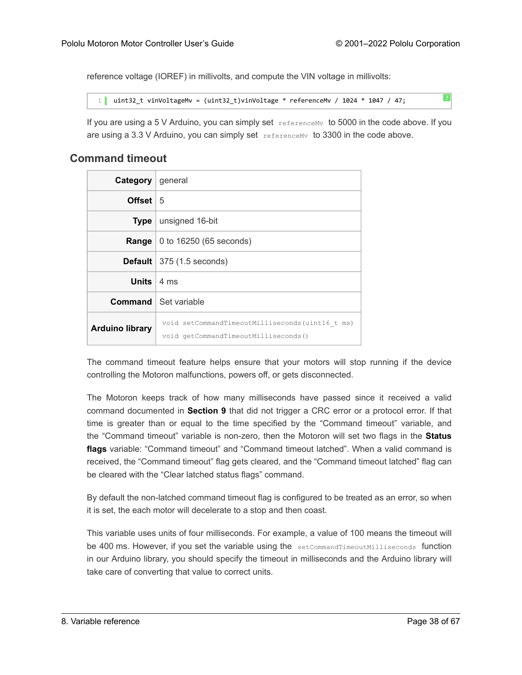reference voltage (IOREF) in millivolts, and compute the VIN voltage in millivolts:

```
1 uint32_t vinVoltageMv = (uint32_t)vinVoltage * referenceMv / 1024 * 1047 / 47;
```
If you are using a 5 V Arduino, you can simply set  $\tau$  referenceMv to 5000 in the code above. If you are using a 3.3 V Arduino, you can simply set  $referenceMv}$  to 3300 in the code above.

#### <span id="page-37-0"></span>**Command timeout**

| <b>Category</b> general       |                                                                                         |
|-------------------------------|-----------------------------------------------------------------------------------------|
| <b>Offset</b>                 | 5                                                                                       |
| <b>Type</b>                   | unsigned 16-bit                                                                         |
| Range                         | 0 to 16250 (65 seconds)                                                                 |
|                               | <b>Default</b> $ 375(1.5 \text{ seconds})$                                              |
| <b>Units</b> $ 4 \text{ ms} $ |                                                                                         |
|                               | <b>Command</b>   Set variable                                                           |
| <b>Arduino library</b>        | void setCommandTimeoutMilliseconds(uint16 t ms)<br>void getCommandTimeoutMilliseconds() |

The command timeout feature helps ensure that your motors will stop running if the device controlling the Motoron malfunctions, powers off, or gets disconnected.

The Motoron keeps track of how many milliseconds have passed since it received a valid command documented in **[Section 9](#page-50-0)** that did not trigger a CRC error or a protocol error. If that time is greater than or equal to the time specified by the "Command timeout" variable, and the "Command timeout" variable is non-zero, then the Motoron will set two flags in the **[Status](#page-34-0) [flags](#page-34-0)** variable: "Command timeout" and "Command timeout latched". When a valid command is received, the "Command timeout" flag gets cleared, and the "Command timeout latched" flag can be cleared with the "Clear latched status flags" command.

By default the non-latched command timeout flag is configured to be treated as an error, so when it is set, the each motor will decelerate to a stop and then coast.

This variable uses units of four milliseconds. For example, a value of 100 means the timeout will be 400 ms. However, if you set the variable using the setCommandTimeoutMilliseconds function in our Arduino library, you should specify the timeout in milliseconds and the Arduino library will take care of converting that value to correct units.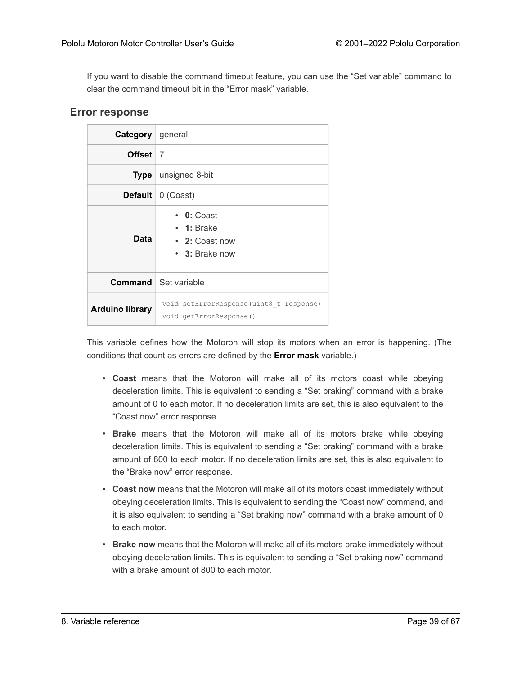If you want to disable the command timeout feature, you can use the "Set variable" command to clear the command timeout bit in the "Error mask" variable.

#### <span id="page-38-0"></span>**Error response**

| <b>Category</b> general |                                                                                |
|-------------------------|--------------------------------------------------------------------------------|
| Offset $ 7$             |                                                                                |
| Type                    | unsigned 8-bit                                                                 |
|                         | <b>Default</b> $\vert 0$ (Coast)                                               |
| Data                    | $\cdot$ 0: Coast<br>$\cdot$ 1: Brake<br>• 2: Coast now<br>$\cdot$ 3: Brake now |
|                         | <b>Command</b> Set variable                                                    |
| <b>Arduino library</b>  | void setErrorResponse (uint8 t response)<br>void getErrorResponse()            |

This variable defines how the Motoron will stop its motors when an error is happening. (The conditions that count as errors are defined by the **[Error mask](#page-39-0)** variable.)

- **Coast** means that the Motoron will make all of its motors coast while obeying deceleration limits. This is equivalent to sending a "Set braking" command with a brake amount of 0 to each motor. If no deceleration limits are set, this is also equivalent to the "Coast now" error response.
- **Brake** means that the Motoron will make all of its motors brake while obeying deceleration limits. This is equivalent to sending a "Set braking" command with a brake amount of 800 to each motor. If no deceleration limits are set, this is also equivalent to the "Brake now" error response.
- **Coast now** means that the Motoron will make all of its motors coast immediately without obeying deceleration limits. This is equivalent to sending the "Coast now" command, and it is also equivalent to sending a "Set braking now" command with a brake amount of 0 to each motor.
- **Brake now** means that the Motoron will make all of its motors brake immediately without obeying deceleration limits. This is equivalent to sending a "Set braking now" command with a brake amount of 800 to each motor.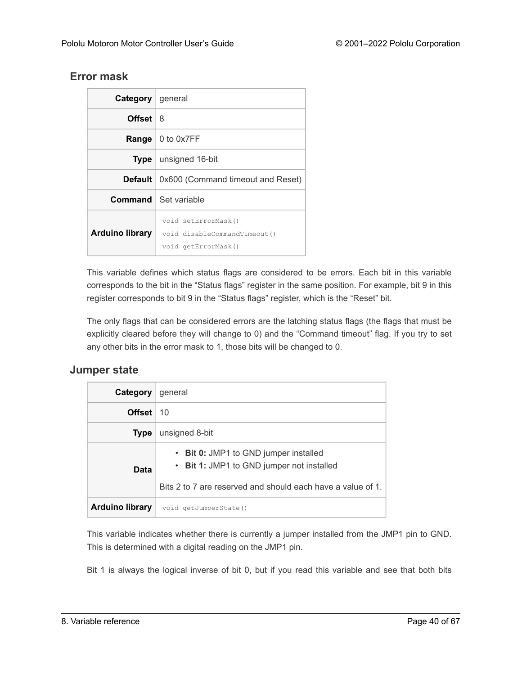# <span id="page-39-0"></span>**Error mask**

| <b>Category</b> general |                                                                            |
|-------------------------|----------------------------------------------------------------------------|
| <b>Offset</b> 18        |                                                                            |
|                         | <b>Range</b> $\vert$ 0 to 0x7FF                                            |
|                         | <b>Type</b> $\vert$ unsigned 16-bit                                        |
| Default                 | 0x600 (Command timeout and Reset)                                          |
|                         | <b>Command</b> Set variable                                                |
| <b>Arduino library</b>  | void setErrorMask()<br>void disableCommandTimeout()<br>void getErrorMask() |

This variable defines which status flags are considered to be errors. Each bit in this variable corresponds to the bit in the "Status flags" register in the same position. For example, bit 9 in this register corresponds to bit 9 in the "Status flags" register, which is the "Reset" bit.

The only flags that can be considered errors are the latching status flags (the flags that must be explicitly cleared before they will change to 0) and the "Command timeout" flag. If you try to set any other bits in the error mask to 1, those bits will be changed to 0.

#### <span id="page-39-1"></span>**Jumper state**

| Category               | general                                                                                                                                                             |
|------------------------|---------------------------------------------------------------------------------------------------------------------------------------------------------------------|
| Offset                 | <b>10</b>                                                                                                                                                           |
| <b>Type</b>            | unsigned 8-bit                                                                                                                                                      |
| Data                   | <b>Bit 0:</b> JMP1 to GND jumper installed<br>$\bullet$<br>• Bit 1: JMP1 to GND jumper not installed<br>Bits 2 to 7 are reserved and should each have a value of 1. |
| <b>Arduino library</b> | void getJumperState()                                                                                                                                               |

This variable indicates whether there is currently a jumper installed from the JMP1 pin to GND. This is determined with a digital reading on the JMP1 pin.

Bit 1 is always the logical inverse of bit 0, but if you read this variable and see that both bits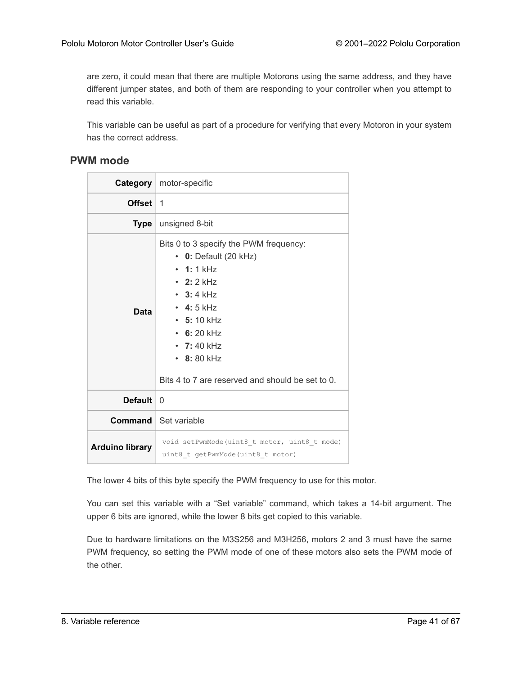are zero, it could mean that there are multiple Motorons using the same address, and they have different jumper states, and both of them are responding to your controller when you attempt to read this variable.

This variable can be useful as part of a procedure for verifying that every Motoron in your system has the correct address.

#### <span id="page-40-0"></span>**PWM mode**

|                        | <b>Category</b>   motor-specific                                                                                                                                                                                                                                             |
|------------------------|------------------------------------------------------------------------------------------------------------------------------------------------------------------------------------------------------------------------------------------------------------------------------|
| <b>Offset</b>          | $\overline{1}$                                                                                                                                                                                                                                                               |
| Type                   | unsigned 8-bit                                                                                                                                                                                                                                                               |
| Data                   | Bits 0 to 3 specify the PWM frequency:<br>$\cdot$ 0: Default (20 kHz)<br>$\cdot$ 1:1 kHz<br>• 2: 2 kHz<br>$\cdot$ 3:4 kHz<br>$\cdot$ 4:5 kHz<br>$\cdot$ 5: 10 kHz<br>$\cdot$ 6: 20 kHz<br>• 7:40 kHz<br>$\cdot$ 8:80 kHz<br>Bits 4 to 7 are reserved and should be set to 0. |
| Default                | $\Omega$                                                                                                                                                                                                                                                                     |
|                        | <b>Command</b> Set variable                                                                                                                                                                                                                                                  |
| <b>Arduino library</b> | void setPwmMode(uint8 t motor, uint8 t mode)<br>uint8 t getPwmMode(uint8 t motor)                                                                                                                                                                                            |

The lower 4 bits of this byte specify the PWM frequency to use for this motor.

You can set this variable with a "Set variable" command, which takes a 14-bit argument. The upper 6 bits are ignored, while the lower 8 bits get copied to this variable.

Due to hardware limitations on the M3S256 and M3H256, motors 2 and 3 must have the same PWM frequency, so setting the PWM mode of one of these motors also sets the PWM mode of the other.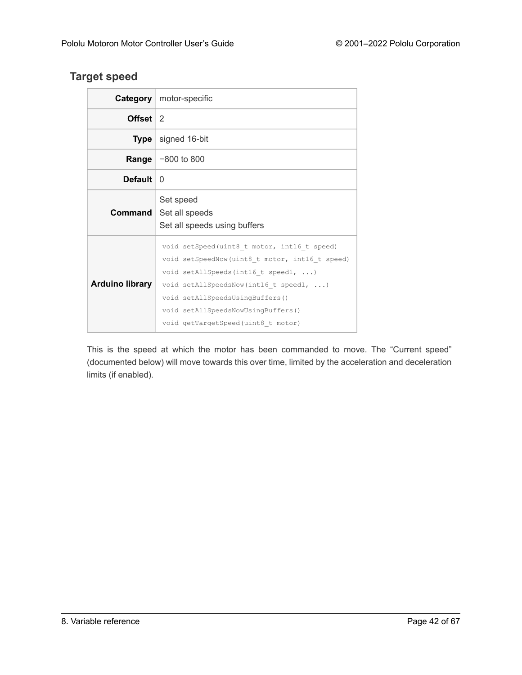# <span id="page-41-0"></span>**Target speed**

|                        | <b>Category</b>   motor-specific                                                                                                                                                                                                                                                              |
|------------------------|-----------------------------------------------------------------------------------------------------------------------------------------------------------------------------------------------------------------------------------------------------------------------------------------------|
| Offset $\vert 2 \vert$ |                                                                                                                                                                                                                                                                                               |
| Type                   | signed 16-bit                                                                                                                                                                                                                                                                                 |
|                        | <b>Range</b> $-800$ to 800                                                                                                                                                                                                                                                                    |
| <b>Default</b>         | <sup>0</sup>                                                                                                                                                                                                                                                                                  |
| Command                | Set speed<br>Set all speeds<br>Set all speeds using buffers                                                                                                                                                                                                                                   |
| <b>Arduino library</b> | void setSpeed(uint8 t motor, int16 t speed)<br>void setSpeedNow(uint8_t motor, int16_t speed)<br>void setAllSpeeds(int16 t speed1, )<br>void setAllSpeedsNow(int16 t speed1, )<br>void setAllSpeedsUsingBuffers()<br>void setAllSpeedsNowUsingBuffers()<br>void getTargetSpeed(uint8 t motor) |

This is the speed at which the motor has been commanded to move. The "Current speed" (documented below) will move towards this over time, limited by the acceleration and deceleration limits (if enabled).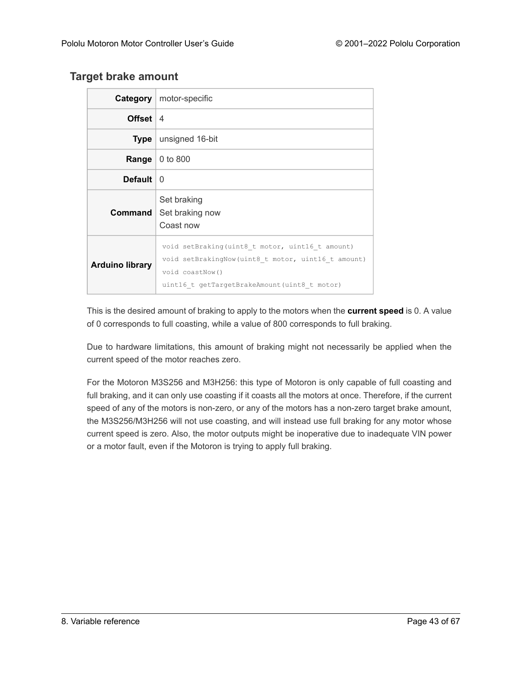### <span id="page-42-0"></span>**Target brake amount**

|                        | <b>Category</b>   motor-specific                                                                                                                                          |
|------------------------|---------------------------------------------------------------------------------------------------------------------------------------------------------------------------|
| Offset $ 4$            |                                                                                                                                                                           |
| <b>Type</b>            | unsigned 16-bit                                                                                                                                                           |
| Range                  | 0 to 800                                                                                                                                                                  |
| <b>Default</b>         | $\Omega$                                                                                                                                                                  |
| Command I              | Set braking<br>Set braking now<br>Coast now                                                                                                                               |
| <b>Arduino library</b> | void setBraking(uint8 t motor, uint16 t amount)<br>void setBrakingNow (uint8 t motor, uint16 t amount)<br>void coastNow()<br>uint16 t getTargetBrakeAmount(uint8 t motor) |

This is the desired amount of braking to apply to the motors when the **[current speed](#page-43-0)** is 0. A value of 0 corresponds to full coasting, while a value of 800 corresponds to full braking.

Due to hardware limitations, this amount of braking might not necessarily be applied when the current speed of the motor reaches zero.

For the Motoron M3S256 and M3H256: this type of Motoron is only capable of full coasting and full braking, and it can only use coasting if it coasts all the motors at once. Therefore, if the current speed of any of the motors is non-zero, or any of the motors has a non-zero target brake amount, the M3S256/M3H256 will not use coasting, and will instead use full braking for any motor whose current speed is zero. Also, the motor outputs might be inoperative due to inadequate VIN power or a motor fault, even if the Motoron is trying to apply full braking.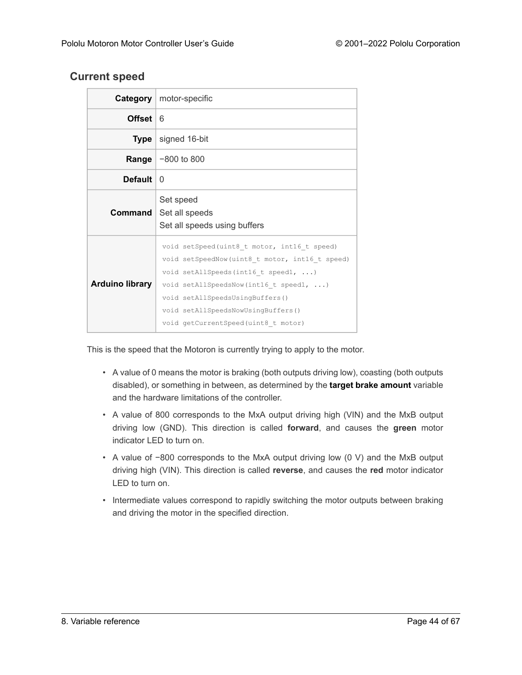# <span id="page-43-0"></span>**Current speed**

|                        | <b>Category</b>   motor-specific                                                                                                                                                                                                                                                                |
|------------------------|-------------------------------------------------------------------------------------------------------------------------------------------------------------------------------------------------------------------------------------------------------------------------------------------------|
| <b>Offset</b>          | 6                                                                                                                                                                                                                                                                                               |
| Type                   | signed 16-bit                                                                                                                                                                                                                                                                                   |
|                        | <b>Range</b> $-800$ to 800                                                                                                                                                                                                                                                                      |
| <b>Default</b>         | $\Omega$                                                                                                                                                                                                                                                                                        |
| Command                | Set speed<br>Set all speeds<br>Set all speeds using buffers                                                                                                                                                                                                                                     |
| <b>Arduino library</b> | void setSpeed(uint8 t motor, int16 t speed)<br>void setSpeedNow (uint8 t motor, int16 t speed)<br>void setAllSpeeds(int16 t speed1, )<br>void setAllSpeedsNow(int16 t speed1, )<br>void setAllSpeedsUsingBuffers()<br>void setAllSpeedsNowUsingBuffers()<br>void getCurrentSpeed(uint8 t motor) |

This is the speed that the Motoron is currently trying to apply to the motor.

- A value of 0 means the motor is braking (both outputs driving low), coasting (both outputs disabled), or something in between, as determined by the **[target brake amount](#page-42-0)** variable and the hardware limitations of the controller.
- A value of 800 corresponds to the MxA output driving high (VIN) and the MxB output driving low (GND). This direction is called **forward**, and causes the **green** motor indicator LED to turn on.
- A value of −800 corresponds to the MxA output driving low (0 V) and the MxB output driving high (VIN). This direction is called **reverse**, and causes the **red** motor indicator LED to turn on.
- Intermediate values correspond to rapidly switching the motor outputs between braking and driving the motor in the specified direction.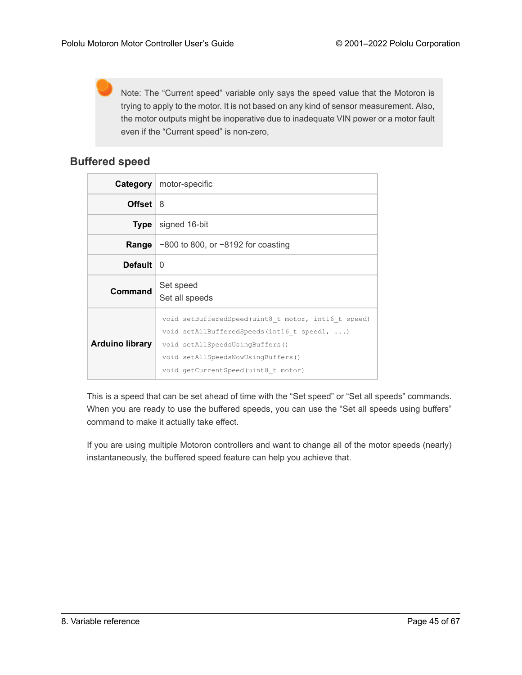Note: The "Current speed" variable only says the speed value that the Motoron is trying to apply to the motor. It is not based on any kind of sensor measurement. Also, the motor outputs might be inoperative due to inadequate VIN power or a motor fault even if the "Current speed" is non-zero,

# <span id="page-44-0"></span>**Buffered speed**

|                | <b>Category</b>   motor-specific     |  |  |  |  |
|----------------|--------------------------------------|--|--|--|--|
| <b>Offset</b>  | 8                                    |  |  |  |  |
| <b>Type</b>    | signed 16-bit                        |  |  |  |  |
| Range          | $-800$ to 800, or −8192 for coasting |  |  |  |  |
| <b>Default</b> | 0                                    |  |  |  |  |
|                | Set speed<br>Set all speeds          |  |  |  |  |
| <b>Command</b> |                                      |  |  |  |  |

This is a speed that can be set ahead of time with the "Set speed" or "Set all speeds" commands. When you are ready to use the buffered speeds, you can use the "Set all speeds using buffers" command to make it actually take effect.

If you are using multiple Motoron controllers and want to change all of the motor speeds (nearly) instantaneously, the buffered speed feature can help you achieve that.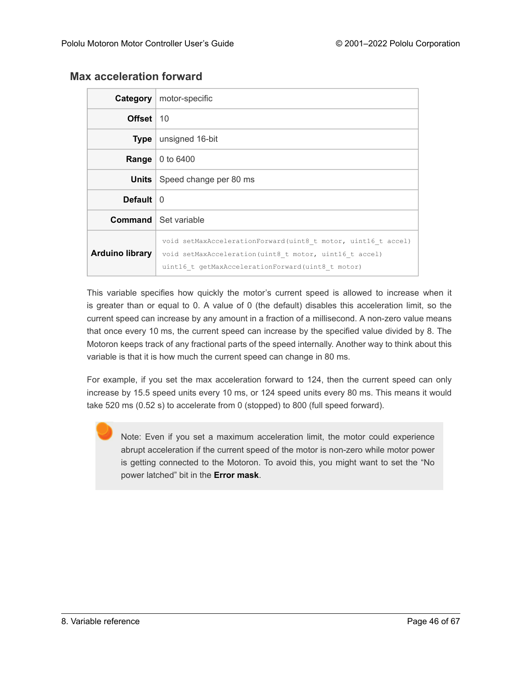| Category               | motor-specific                                                                                                                                                                |
|------------------------|-------------------------------------------------------------------------------------------------------------------------------------------------------------------------------|
| Offset                 | 10                                                                                                                                                                            |
| <b>Type</b>            | unsigned 16-bit                                                                                                                                                               |
| Range                  | 0 to 6400                                                                                                                                                                     |
| <b>Units</b>           | Speed change per 80 ms                                                                                                                                                        |
| Default                | $\Omega$                                                                                                                                                                      |
|                        | <b>Command</b>   Set variable                                                                                                                                                 |
| <b>Arduino library</b> | void setMaxAccelerationForward(uint8 t motor, uint16 t accel)<br>void setMaxAcceleration (uint8 t motor, uint16 t accel)<br>uint16 t getMaxAccelerationForward(uint8 t motor) |

# <span id="page-45-0"></span>**Max acceleration forward**

This variable specifies how quickly the motor's current speed is allowed to increase when it is greater than or equal to 0. A value of 0 (the default) disables this acceleration limit, so the current speed can increase by any amount in a fraction of a millisecond. A non-zero value means that once every 10 ms, the current speed can increase by the specified value divided by 8. The Motoron keeps track of any fractional parts of the speed internally. Another way to think about this variable is that it is how much the current speed can change in 80 ms.

For example, if you set the max acceleration forward to 124, then the current speed can only increase by 15.5 speed units every 10 ms, or 124 speed units every 80 ms. This means it would take 520 ms (0.52 s) to accelerate from 0 (stopped) to 800 (full speed forward).

Note: Even if you set a maximum acceleration limit, the motor could experience abrupt acceleration if the current speed of the motor is non-zero while motor power is getting connected to the Motoron. To avoid this, you might want to set the "No power latched" bit in the **[Error mask](#page-39-0)**.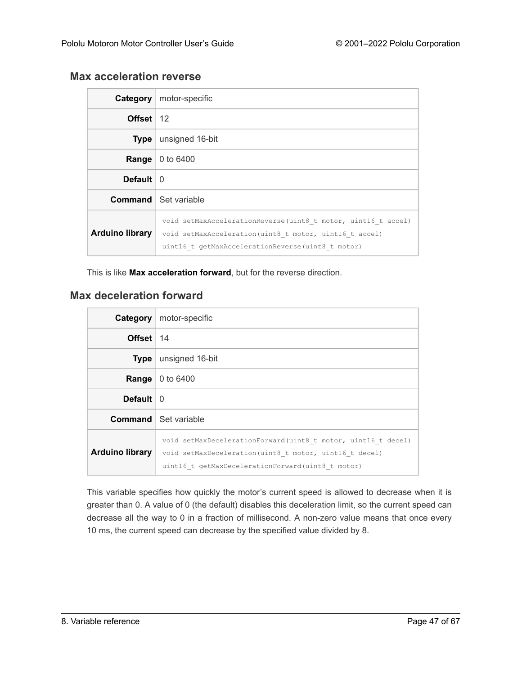# <span id="page-46-0"></span>**Max acceleration reverse**

| Category               | motor-specific                                                                                                                                                                |
|------------------------|-------------------------------------------------------------------------------------------------------------------------------------------------------------------------------|
| Offset $12$            |                                                                                                                                                                               |
| Type                   | unsigned 16-bit                                                                                                                                                               |
| Range                  | 0 to 6400                                                                                                                                                                     |
| <b>Default</b>         | 0                                                                                                                                                                             |
|                        | <b>Command</b> Set variable                                                                                                                                                   |
| <b>Arduino library</b> | void setMaxAccelerationReverse(uint8 t motor, uint16 t accel)<br>void setMaxAcceleration (uint8 t motor, uint16 t accel)<br>uint16 t qetMaxAccelerationReverse(uint8 t motor) |

This is like **[Max acceleration forward](#page-45-0)**, but for the reverse direction.

# <span id="page-46-1"></span>**Max deceleration forward**

| Category               | motor-specific                                                                                                                                                                |
|------------------------|-------------------------------------------------------------------------------------------------------------------------------------------------------------------------------|
| Offset $14$            |                                                                                                                                                                               |
| Type                   | unsigned 16-bit                                                                                                                                                               |
| Range                  | 0 to 6400                                                                                                                                                                     |
| <b>Default</b>         | $\overline{0}$                                                                                                                                                                |
|                        | <b>Command</b> Set variable                                                                                                                                                   |
| <b>Arduino library</b> | void setMaxDecelerationForward(uint8 t motor, uint16 t decel)<br>void setMaxDeceleration (uint8 t motor, uint16 t decel)<br>uint16 t qetMaxDecelerationForward(uint8 t motor) |

This variable specifies how quickly the motor's current speed is allowed to decrease when it is greater than 0. A value of 0 (the default) disables this deceleration limit, so the current speed can decrease all the way to 0 in a fraction of millisecond. A non-zero value means that once every 10 ms, the current speed can decrease by the specified value divided by 8.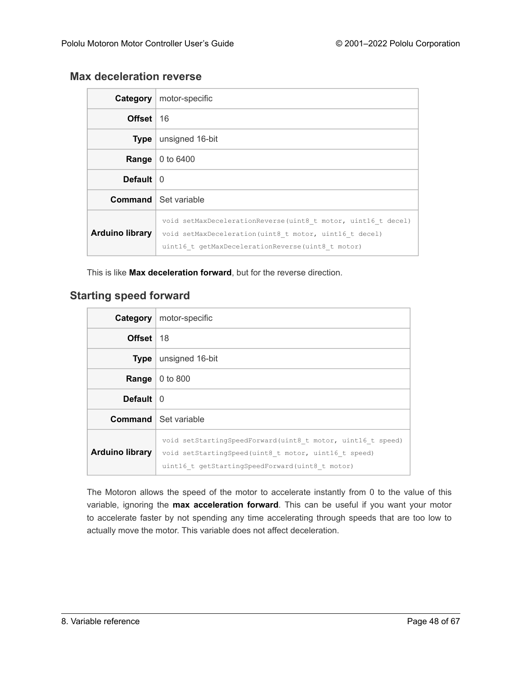# <span id="page-47-0"></span>**Max deceleration reverse**

| <b>Category</b>        | motor-specific                                                                                                                                                                |
|------------------------|-------------------------------------------------------------------------------------------------------------------------------------------------------------------------------|
| Offset                 | 16                                                                                                                                                                            |
| <b>Type</b>            | unsigned 16-bit                                                                                                                                                               |
| Range                  | 0 to 6400                                                                                                                                                                     |
| <b>Default</b>         | $\mathbf{0}$                                                                                                                                                                  |
|                        | <b>Command</b> Set variable                                                                                                                                                   |
| <b>Arduino library</b> | void setMaxDecelerationReverse(uint8 t motor, uint16 t decel)<br>void setMaxDeceleration (uint8 t motor, uint16 t decel)<br>uint16 t qetMaxDecelerationReverse(uint8 t motor) |

This is like **[Max deceleration forward](#page-46-1)**, but for the reverse direction.

# <span id="page-47-1"></span>**Starting speed forward**

| Category               | motor-specific                                                                                                                                                         |
|------------------------|------------------------------------------------------------------------------------------------------------------------------------------------------------------------|
| Offset                 | -18                                                                                                                                                                    |
| <b>Type</b>            | unsigned 16-bit                                                                                                                                                        |
| Range                  | 0 to 800                                                                                                                                                               |
| <b>Default</b>         | - 0                                                                                                                                                                    |
|                        | <b>Command</b> Set variable                                                                                                                                            |
| <b>Arduino library</b> | void setStartingSpeedForward(uint8 t motor, uint16 t speed)<br>void setStartingSpeed(uint8 t motor, uint16 t speed)<br>uint16 t getStartingSpeedForward(uint8 t motor) |

The Motoron allows the speed of the motor to accelerate instantly from 0 to the value of this variable, ignoring the **[max acceleration forward](#page-45-0)**. This can be useful if you want your motor to accelerate faster by not spending any time accelerating through speeds that are too low to actually move the motor. This variable does not affect deceleration.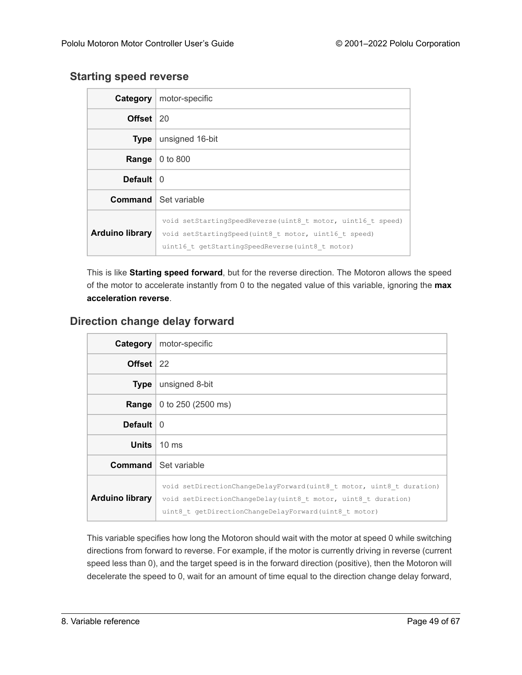#### <span id="page-48-0"></span>**Starting speed reverse**

| Category                  | motor-specific                                                                                                                                                         |
|---------------------------|------------------------------------------------------------------------------------------------------------------------------------------------------------------------|
| Offset $ 20$              |                                                                                                                                                                        |
| <b>Type</b>               | unsigned 16-bit                                                                                                                                                        |
| Range                     | 0 to 800                                                                                                                                                               |
| Default $\vert 0 \rangle$ |                                                                                                                                                                        |
|                           | <b>Command</b> Set variable                                                                                                                                            |
| <b>Arduino library</b>    | void setStartingSpeedReverse(uint8 t motor, uint16 t speed)<br>void setStartingSpeed(uint8 t motor, uint16 t speed)<br>uint16 t getStartingSpeedReverse(uint8 t motor) |

This is like **[Starting speed forward](#page-47-1)**, but for the reverse direction. The Motoron allows the speed of the motor to accelerate instantly from 0 to the negated value of this variable, ignoring the **[max](#page-46-0) [acceleration reverse](#page-46-0)**.

# <span id="page-48-1"></span>**Direction change delay forward**

| Category               | motor-specific                                                                                                                                                                                 |
|------------------------|------------------------------------------------------------------------------------------------------------------------------------------------------------------------------------------------|
| Offset 22              |                                                                                                                                                                                                |
| <b>Type</b>            | unsigned 8-bit                                                                                                                                                                                 |
| Range                  | 0 to 250 (2500 ms)                                                                                                                                                                             |
| Default                | $\Omega$                                                                                                                                                                                       |
| Units                  | $10 \text{ ms}$                                                                                                                                                                                |
|                        | <b>Command</b> Set variable                                                                                                                                                                    |
| <b>Arduino library</b> | void setDirectionChangeDelayForward(uint8 t motor, uint8 t duration)<br>void setDirectionChangeDelay(uint8 t motor, uint8 t duration)<br>uint8 t getDirectionChangeDelayForward(uint8 t motor) |

This variable specifies how long the Motoron should wait with the motor at speed 0 while switching directions from forward to reverse. For example, if the motor is currently driving in reverse (current speed less than 0), and the target speed is in the forward direction (positive), then the Motoron will decelerate the speed to 0, wait for an amount of time equal to the direction change delay forward,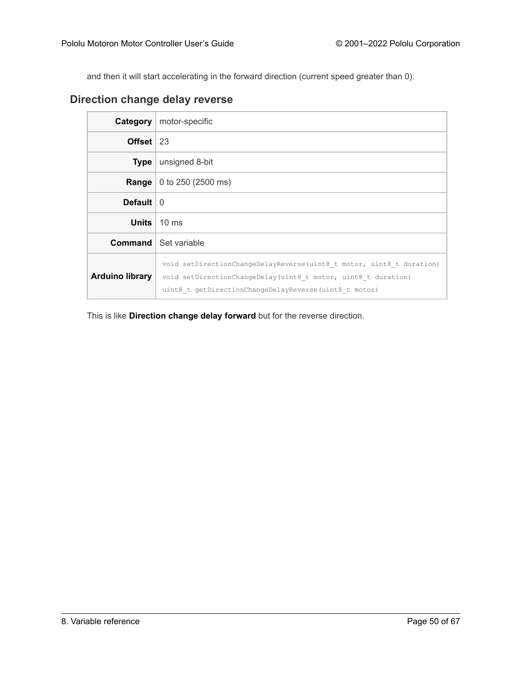and then it will start accelerating in the forward direction (current speed greater than 0).

# <span id="page-49-0"></span>**Direction change delay reverse**

| Category                | motor-specific                                                                                                                                                                                 |
|-------------------------|------------------------------------------------------------------------------------------------------------------------------------------------------------------------------------------------|
| Offset $ 23 $           |                                                                                                                                                                                                |
| <b>Type</b>             | unsigned 8-bit                                                                                                                                                                                 |
| Range                   | 0 to 250 (2500 ms)                                                                                                                                                                             |
| Default $\vert 0 \vert$ |                                                                                                                                                                                                |
| <b>Units</b>            | $10 \text{ ms}$                                                                                                                                                                                |
|                         | <b>Command</b> Set variable                                                                                                                                                                    |
| <b>Arduino library</b>  | void setDirectionChangeDelayReverse(uint8 t motor, uint8 t duration)<br>void setDirectionChangeDelay(uint8 t motor, uint8 t duration)<br>uint8 t getDirectionChangeDelayReverse(uint8 t motor) |

This is like **[Direction change delay forward](#page-48-1)** but for the reverse direction.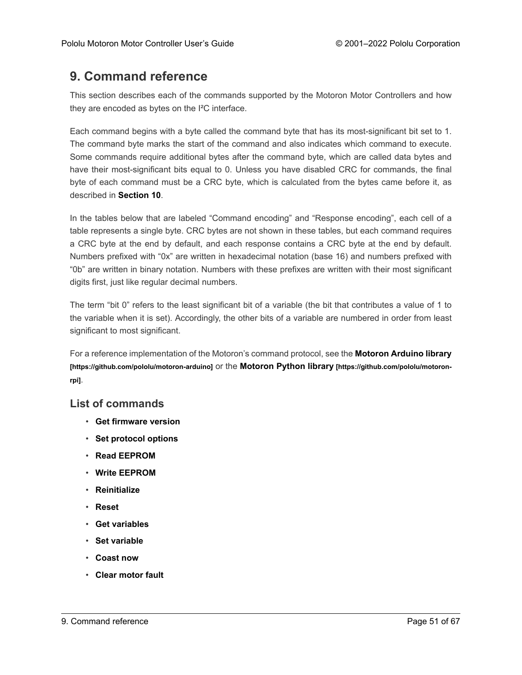# <span id="page-50-0"></span>**9. Command reference**

This section describes each of the commands supported by the Motoron Motor Controllers and how they are encoded as bytes on the I²C interface.

Each command begins with a byte called the command byte that has its most-significant bit set to 1. The command byte marks the start of the command and also indicates which command to execute. Some commands require additional bytes after the command byte, which are called data bytes and have their most-significant bits equal to 0. Unless you have disabled CRC for commands, the final byte of each command must be a CRC byte, which is calculated from the bytes came before it, as described in **[Section 10](#page-65-0)**.

In the tables below that are labeled "Command encoding" and "Response encoding", each cell of a table represents a single byte. CRC bytes are not shown in these tables, but each command requires a CRC byte at the end by default, and each response contains a CRC byte at the end by default. Numbers prefixed with "0x" are written in hexadecimal notation (base 16) and numbers prefixed with "0b" are written in binary notation. Numbers with these prefixes are written with their most significant digits first, just like regular decimal numbers.

The term "bit 0" refers to the least significant bit of a variable (the bit that contributes a value of 1 to the variable when it is set). Accordingly, the other bits of a variable are numbered in order from least significant to most significant.

For a reference implementation of the Motoron's command protocol, see the **[Motoron Arduino library](https://github.com/pololu/motoron-arduino) [\[https://github.com/pololu/motoron-arduino\]](https://github.com/pololu/motoron-arduino)** or the **[Motoron Python library](https://github.com/pololu/motoron-rpi) [https://github.com/pololu/motoron[rpi\]](https://github.com/pololu/motoron-rpi)**.

#### **List of commands**

- **[Get firmware version](#page-51-0)**
- **[Set protocol options](#page-52-0)**
- **[Read EEPROM](#page-53-0)**
- **[Write EEPROM](#page-53-1)**
- **[Reinitialize](#page-55-0)**
- **[Reset](#page-55-1)**
- **[Get variables](#page-56-0)**
- **[Set variable](#page-57-0)**
- **[Coast now](#page-58-0)**
- **[Clear motor fault](#page-58-1)**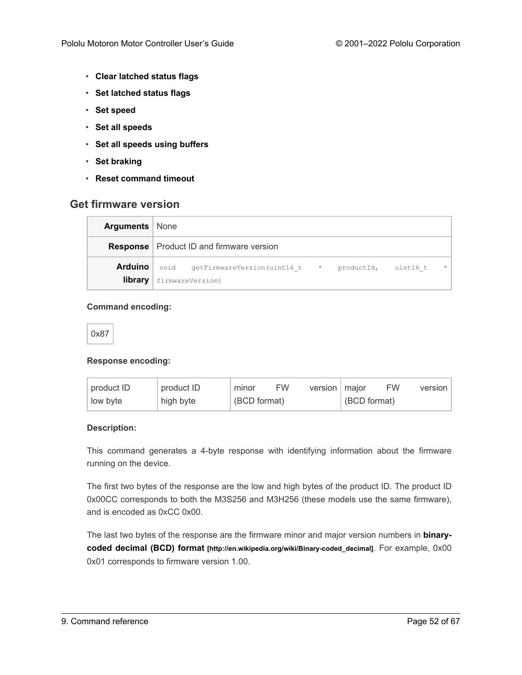- **[Clear latched status flags](#page-59-0)**
- **[Set latched status flags](#page-59-1)**
- **[Set speed](#page-60-0)**
- **[Set all speeds](#page-61-0)**
- **[Set all speeds using buffers](#page-62-0)**
- **[Set braking](#page-63-0)**
- **[Reset command timeout](#page-64-0)**

#### <span id="page-51-0"></span>**Get firmware version**

| <b>Arguments</b>   None |                                                                       |  |         |
|-------------------------|-----------------------------------------------------------------------|--|---------|
|                         | <b>Response</b> Product ID and firmware version                       |  |         |
|                         | <b>Arduino</b> void getFirmwareVersion(uint16 t * productId, uint16 t |  | $\star$ |
| library                 | firmwareVersion)                                                      |  |         |

#### **Command encoding:**

| I<br>$\overline{\phantom{a}}$<br>$\sim$ |
|-----------------------------------------|
|-----------------------------------------|

#### **Response encoding:**

| product ID | product ID | minor        | <b>FW</b> | version   major |              | <b>FW</b> | version |
|------------|------------|--------------|-----------|-----------------|--------------|-----------|---------|
| low byte   | high byte  | (BCD format) |           |                 | (BCD format) |           |         |

#### **Description:**

This command generates a 4-byte response with identifying information about the firmware running on the device.

The first two bytes of the response are the low and high bytes of the product ID. The product ID 0x00CC corresponds to both the M3S256 and M3H256 (these models use the same firmware), and is encoded as 0xCC 0x00.

The last two bytes of the response are the firmware minor and major version numbers in **[binary](http://en.wikipedia.org/wiki/Binary-coded_decimal)coded decimal (BCD) format [\[http://en.wikipedia.org/wiki/Binary-coded\\_decimal\]](http://en.wikipedia.org/wiki/Binary-coded_decimal)**. For example, 0x00 0x01 corresponds to firmware version 1.00.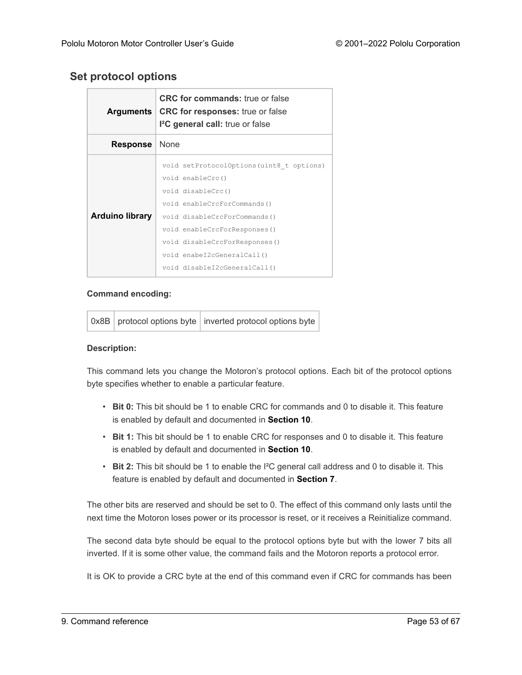# <span id="page-52-0"></span>**Set protocol options**

| <b>Arguments</b>       | <b>CRC for commands:</b> true or false<br><b>CRC for responses:</b> true or false<br>I <sup>2</sup> C general call: true or false                                                                                  |  |
|------------------------|--------------------------------------------------------------------------------------------------------------------------------------------------------------------------------------------------------------------|--|
| <b>Response</b>        | None                                                                                                                                                                                                               |  |
| <b>Arduino library</b> | void setProtocolOptions (uint8 t options)<br>void enableCrc()<br>void disableCrc()<br>void enableCrcForCommands()<br>void disableCrcForCommands()<br>void enableCrcForResponses()<br>void disableCrcForResponses() |  |
|                        | void enabeI2cGeneralCall()<br>void disableI2cGeneralCall()                                                                                                                                                         |  |

#### **Command encoding:**

|  | 0x8B   protocol options byte   inverted protocol options byte |
|--|---------------------------------------------------------------|
|  |                                                               |

#### **Description:**

This command lets you change the Motoron's protocol options. Each bit of the protocol options byte specifies whether to enable a particular feature.

- **Bit 0:** This bit should be 1 to enable CRC for commands and 0 to disable it. This feature is enabled by default and documented in **[Section 10](#page-65-0)**.
- **Bit 1:** This bit should be 1 to enable CRC for responses and 0 to disable it. This feature is enabled by default and documented in **[Section 10](#page-65-0)**.
- **Bit 2:** This bit should be 1 to enable the I²C general call address and 0 to disable it. This feature is enabled by default and documented in **[Section 7](#page-29-0)**.

The other bits are reserved and should be set to 0. The effect of this command only lasts until the next time the Motoron loses power or its processor is reset, or it receives a Reinitialize command.

The second data byte should be equal to the protocol options byte but with the lower 7 bits all inverted. If it is some other value, the command fails and the Motoron reports a protocol error.

It is OK to provide a CRC byte at the end of this command even if CRC for commands has been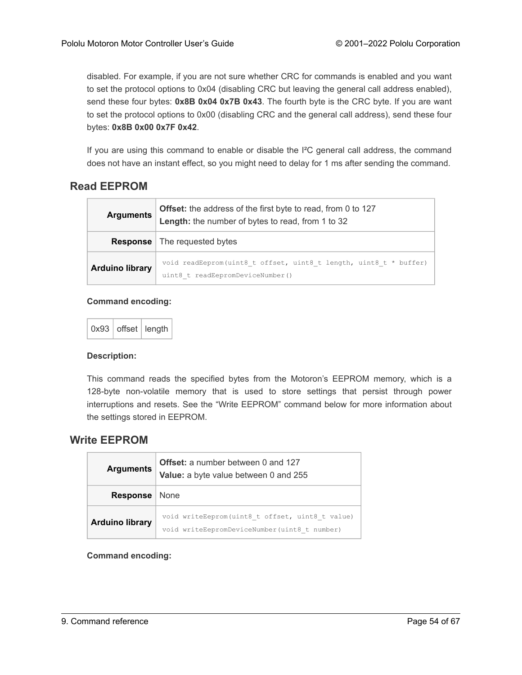disabled. For example, if you are not sure whether CRC for commands is enabled and you want to set the protocol options to 0x04 (disabling CRC but leaving the general call address enabled), send these four bytes: **0x8B 0x04 0x7B 0x43**. The fourth byte is the CRC byte. If you are want to set the protocol options to 0x00 (disabling CRC and the general call address), send these four bytes: **0x8B 0x00 0x7F 0x42**.

If you are using this command to enable or disable the I²C general call address, the command does not have an instant effect, so you might need to delay for 1 ms after sending the command.

# <span id="page-53-0"></span>**Read EEPROM**

| <b>Arguments</b>       | Offset: the address of the first byte to read, from 0 to 127<br>Length: the number of bytes to read, from 1 to 32 |  |
|------------------------|-------------------------------------------------------------------------------------------------------------------|--|
|                        | <b>Response</b>   The requested bytes                                                                             |  |
| <b>Arduino library</b> | void readEeprom(uint8 t offset, uint8 t length, uint8 t * buffer)<br>uint8 t readEepromDeviceNumber()             |  |

#### **Command encoding:**



#### **Description:**

This command reads the specified bytes from the Motoron's EEPROM memory, which is a 128-byte non-volatile memory that is used to store settings that persist through power interruptions and resets. See the "Write EEPROM" command below for more information about the settings stored in EEPROM.

#### <span id="page-53-1"></span>**Write EEPROM**

| <b>Arguments</b>       | Offset: a number between 0 and 127<br>Value: a byte value between 0 and 255                      |
|------------------------|--------------------------------------------------------------------------------------------------|
| <b>Response</b>        | None                                                                                             |
| <b>Arduino library</b> | void writeEeprom(uint8 t offset, uint8 t value)<br>void writeEepromDeviceNumber (uint8 t number) |

**Command encoding:**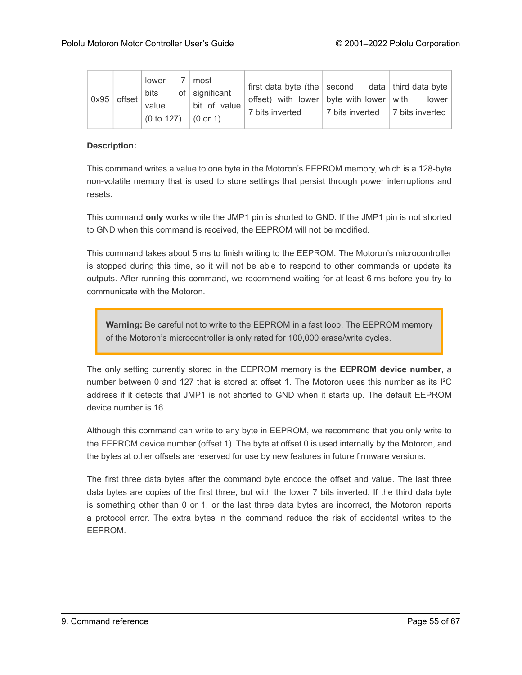| 0x95 | $ $ offset $ $ | lower<br>bits<br>value<br>$(0 to 127)$ $(0 or 1)$ | most<br>of $ $ significant<br>  bit of value | first data byte (the second data third data byte<br>offset) with lower byte with lower with lower<br>7 bits inverted | 7 bits inverted   7 bits inverted |  |
|------|----------------|---------------------------------------------------|----------------------------------------------|----------------------------------------------------------------------------------------------------------------------|-----------------------------------|--|
|------|----------------|---------------------------------------------------|----------------------------------------------|----------------------------------------------------------------------------------------------------------------------|-----------------------------------|--|

#### **Description:**

This command writes a value to one byte in the Motoron's EEPROM memory, which is a 128-byte non-volatile memory that is used to store settings that persist through power interruptions and resets.

This command **only** works while the JMP1 pin is shorted to GND. If the JMP1 pin is not shorted to GND when this command is received, the EEPROM will not be modified.

This command takes about 5 ms to finish writing to the EEPROM. The Motoron's microcontroller is stopped during this time, so it will not be able to respond to other commands or update its outputs. After running this command, we recommend waiting for at least 6 ms before you try to communicate with the Motoron.

**Warning:** Be careful not to write to the EEPROM in a fast loop. The EEPROM memory of the Motoron's microcontroller is only rated for 100,000 erase/write cycles.

The only setting currently stored in the EEPROM memory is the **EEPROM device number**, a number between 0 and 127 that is stored at offset 1. The Motoron uses this number as its I²C address if it detects that JMP1 is not shorted to GND when it starts up. The default EEPROM device number is 16.

Although this command can write to any byte in EEPROM, we recommend that you only write to the EEPROM device number (offset 1). The byte at offset 0 is used internally by the Motoron, and the bytes at other offsets are reserved for use by new features in future firmware versions.

The first three data bytes after the command byte encode the offset and value. The last three data bytes are copies of the first three, but with the lower 7 bits inverted. If the third data byte is something other than 0 or 1, or the last three data bytes are incorrect, the Motoron reports a protocol error. The extra bytes in the command reduce the risk of accidental writes to the EEPROM.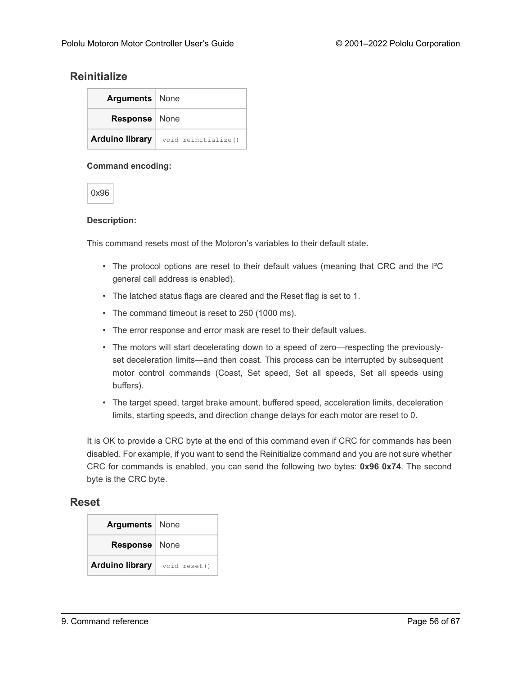### <span id="page-55-0"></span>**Reinitialize**

| <b>Arguments</b>   None |                     |
|-------------------------|---------------------|
| Response   None         |                     |
| <b>Arduino library</b>  | void reinitialize() |

#### **Command encoding:**

0x96

#### **Description:**

This command resets most of the Motoron's variables to their default state.

- The protocol options are reset to their default values (meaning that CRC and the I²C general call address is enabled).
- The latched status flags are cleared and the Reset flag is set to 1.
- The command timeout is reset to 250 (1000 ms).
- The error response and error mask are reset to their default values.
- The motors will start decelerating down to a speed of zero—respecting the previouslyset deceleration limits—and then coast. This process can be interrupted by subsequent motor control commands (Coast, Set speed, Set all speeds, Set all speeds using buffers).
- The target speed, target brake amount, buffered speed, acceleration limits, deceleration limits, starting speeds, and direction change delays for each motor are reset to 0.

It is OK to provide a CRC byte at the end of this command even if CRC for commands has been disabled. For example, if you want to send the Reinitialize command and you are not sure whether CRC for commands is enabled, you can send the following two bytes: **0x96 0x74**. The second byte is the CRC byte.

#### <span id="page-55-1"></span>**Reset**

| <b>Arguments</b>   None |              |
|-------------------------|--------------|
| <b>Response</b>   None  |              |
| <b>Arduino library</b>  | void reset() |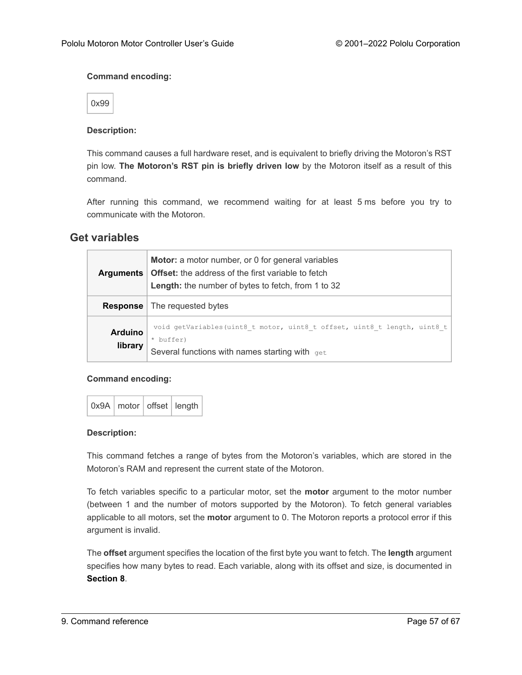#### **Command encoding:**

0x99

#### **Description:**

This command causes a full hardware reset, and is equivalent to briefly driving the Motoron's RST pin low. **The Motoron's RST pin is briefly driven low** by the Motoron itself as a result of this command.

After running this command, we recommend waiting for at least 5 ms before you try to communicate with the Motoron.

#### <span id="page-56-0"></span>**Get variables**

| <b>Arguments</b>          | <b>Motor:</b> a motor number, or 0 for general variables<br><b>Offset:</b> the address of the first variable to fetch<br>Length: the number of bytes to fetch, from 1 to 32 |
|---------------------------|-----------------------------------------------------------------------------------------------------------------------------------------------------------------------------|
| <b>Response</b>           | The requested bytes                                                                                                                                                         |
| <b>Arduino</b><br>library | void getVariables (uint8 t motor, uint8 t offset, uint8 t length, uint8 t  <br>* buffer)<br>Several functions with names starting with get                                  |

#### **Command encoding:**

|  | 0x9A   motor   offset   length |  |  |
|--|--------------------------------|--|--|
|--|--------------------------------|--|--|

#### **Description:**

This command fetches a range of bytes from the Motoron's variables, which are stored in the Motoron's RAM and represent the current state of the Motoron.

To fetch variables specific to a particular motor, set the **motor** argument to the motor number (between 1 and the number of motors supported by the Motoron). To fetch general variables applicable to all motors, set the **motor** argument to 0. The Motoron reports a protocol error if this argument is invalid.

The **offset** argument specifies the location of the first byte you want to fetch. The **length** argument specifies how many bytes to read. Each variable, along with its offset and size, is documented in **[Section 8](#page-31-0)**.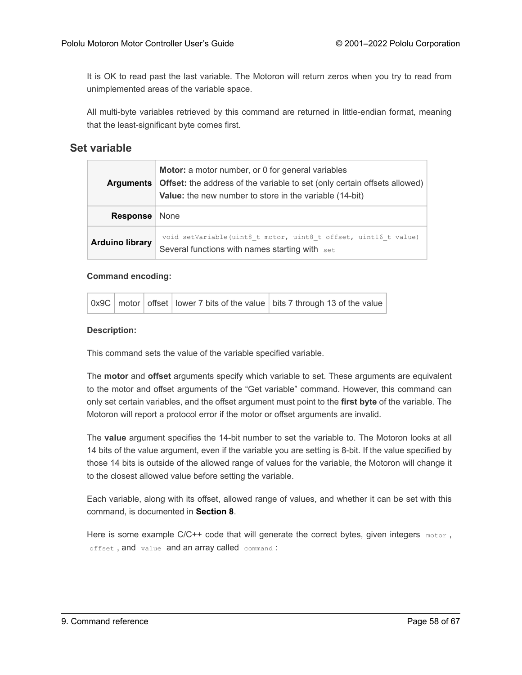It is OK to read past the last variable. The Motoron will return zeros when you try to read from unimplemented areas of the variable space.

All multi-byte variables retrieved by this command are returned in little-endian format, meaning that the least-significant byte comes first.

#### <span id="page-57-0"></span>**Set variable**

| <b>Arguments</b>       | <b>Motor:</b> a motor number, or 0 for general variables<br><b>Offset:</b> the address of the variable to set (only certain offsets allowed)<br><b>Value:</b> the new number to store in the variable (14-bit) |  |
|------------------------|----------------------------------------------------------------------------------------------------------------------------------------------------------------------------------------------------------------|--|
| Response               | None                                                                                                                                                                                                           |  |
| <b>Arduino library</b> | void setVariable (uint8 t motor, uint8 t offset, uint16 t value)<br>Several functions with names starting with set                                                                                             |  |

#### **Command encoding:**

|  |  | $\vert$ 0x9C $\vert$ motor $\vert$ offset $\vert$ lower 7 bits of the value $\vert$ bits 7 through 13 of the value $\vert$ |
|--|--|----------------------------------------------------------------------------------------------------------------------------|

#### **Description:**

This command sets the value of the variable specified variable.

The **motor** and **offset** arguments specify which variable to set. These arguments are equivalent to the motor and offset arguments of the "Get variable" command. However, this command can only set certain variables, and the offset argument must point to the **first byte** of the variable. The Motoron will report a protocol error if the motor or offset arguments are invalid.

The **value** argument specifies the 14-bit number to set the variable to. The Motoron looks at all 14 bits of the value argument, even if the variable you are setting is 8-bit. If the value specified by those 14 bits is outside of the allowed range of values for the variable, the Motoron will change it to the closest allowed value before setting the variable.

Each variable, along with its offset, allowed range of values, and whether it can be set with this command, is documented in **[Section 8](#page-31-0)**.

Here is some example  $C/C++$  code that will generate the correct bytes, given integers  $_{\text{motor}}$ , offset , and value and an array called command :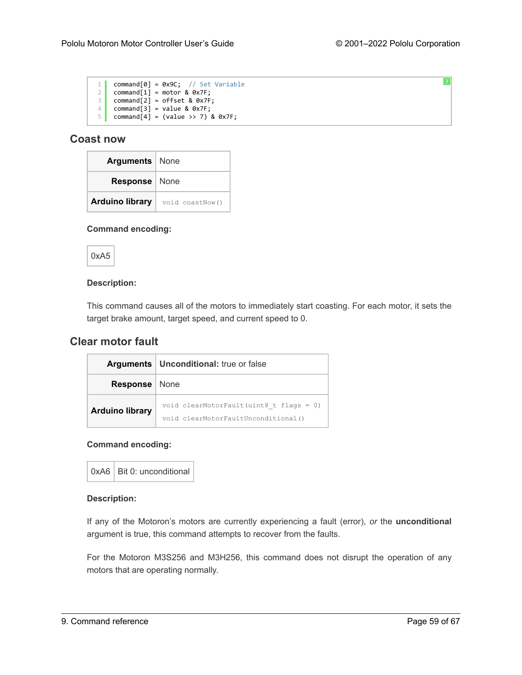[?](#page-0-0)

| 1              | $command[0] = 0x9C; // Set Variable$ |
|----------------|--------------------------------------|
| $\overline{2}$ | $command[1] = motor & 0x7F;$         |
| 3              | $command[2] = offset & 0x7F;$        |
| 4              | $command[3] = value & 0x7F;$         |
| 5              | command[4] = (value >> 7) & $0x7F$ ; |

#### <span id="page-58-0"></span>**Coast now**

| <b>Arguments</b>   None |                                                |
|-------------------------|------------------------------------------------|
| Response   None         |                                                |
|                         | <b>Arduino library</b> $\vert$ void coastNow() |

#### **Command encoding:**



#### **Description:**

This command causes all of the motors to immediately start coasting. For each motor, it sets the target brake amount, target speed, and current speed to 0.

#### <span id="page-58-1"></span>**Clear motor fault**

|                        | <b>Arguments   Unconditional: true or false</b>                                   |  |
|------------------------|-----------------------------------------------------------------------------------|--|
| <b>Response</b>   None |                                                                                   |  |
| <b>Arduino library</b> | void clearMotorFault(uint8 t flags = $0$ )<br>void clearMotorFaultUnconditional() |  |

#### **Command encoding:**

 $0xA6$  Bit 0: unconditional

#### **Description:**

If any of the Motoron's motors are currently experiencing a fault (error), *or* the **unconditional** argument is true, this command attempts to recover from the faults.

For the Motoron M3S256 and M3H256, this command does not disrupt the operation of any motors that are operating normally.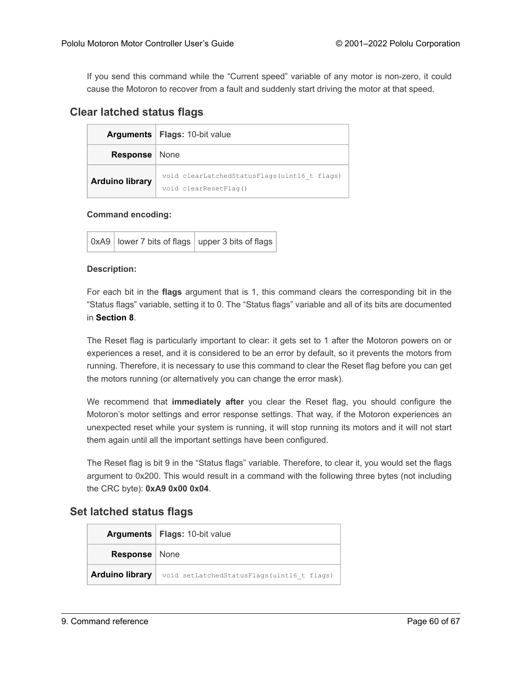If you send this command while the "Current speed" variable of any motor is non-zero, it could cause the Motoron to recover from a fault and suddenly start driving the motor at that speed.

#### <span id="page-59-0"></span>**Clear latched status flags**

|                        | <b>Arguments</b>   Flags: 10-bit value                                |  |
|------------------------|-----------------------------------------------------------------------|--|
| <b>Response</b>   None |                                                                       |  |
| <b>Arduino library</b> | void clearLatchedStatusFlags(uint16 t flags)<br>void clearResetFlaq() |  |

#### **Command encoding:**

| 0xA9   lower 7 bits of flags   upper 3 bits of flags |  |
|------------------------------------------------------|--|
|                                                      |  |

#### **Description:**

For each bit in the **flags** argument that is 1, this command clears the corresponding bit in the "Status flags" variable, setting it to 0. The "Status flags" variable and all of its bits are documented in **[Section 8](#page-31-0)**.

The Reset flag is particularly important to clear: it gets set to 1 after the Motoron powers on or experiences a reset, and it is considered to be an error by default, so it prevents the motors from running. Therefore, it is necessary to use this command to clear the Reset flag before you can get the motors running (or alternatively you can change the error mask).

We recommend that **immediately after** you clear the Reset flag, you should configure the Motoron's motor settings and error response settings. That way, if the Motoron experiences an unexpected reset while your system is running, it will stop running its motors and it will not start them again until all the important settings have been configured.

The Reset flag is bit 9 in the "Status flags" variable. Therefore, to clear it, you would set the flags argument to 0x200. This would result in a command with the following three bytes (not including the CRC byte): **0xA9 0x00 0x04**.

### <span id="page-59-1"></span>**Set latched status flags**

|                        | <b>Arguments</b>   Flags: 10-bit value     |
|------------------------|--------------------------------------------|
| <b>Response</b>   None |                                            |
| <b>Arduino library</b> | void setLatchedStatusFlags(uint16 t flags) |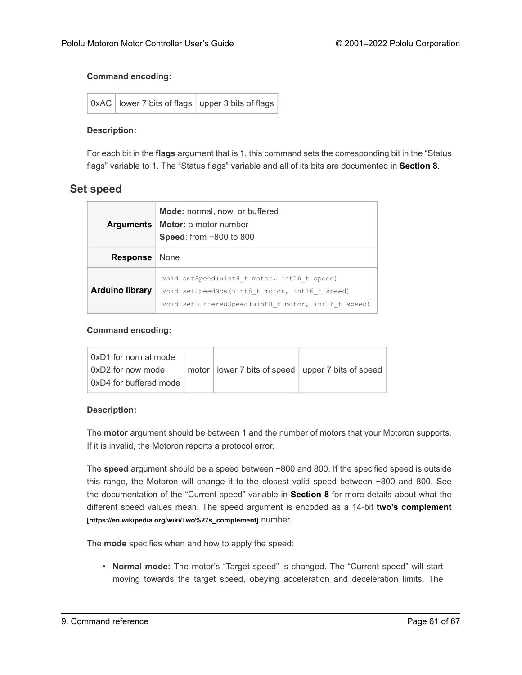#### **Command encoding:**

| 0xAC   lower 7 bits of flags   upper 3 bits of flags |  |
|------------------------------------------------------|--|
|                                                      |  |

#### **Description:**

For each bit in the **flags** argument that is 1, this command sets the corresponding bit in the "Status flags" variable to 1. The "Status flags" variable and all of its bits are documented in **[Section 8](#page-31-0)**.

#### <span id="page-60-0"></span>**Set speed**

| <b>Arguments</b>       | <b>Mode:</b> normal, now, or buffered<br><b>Motor:</b> a motor number<br>Speed: from -800 to 800                                                     |  |
|------------------------|------------------------------------------------------------------------------------------------------------------------------------------------------|--|
| <b>Response</b>        | None                                                                                                                                                 |  |
| <b>Arduino library</b> | void setSpeed(uint8 t motor, int16 t speed)<br>void setSpeedNow(uint8 t motor, int16 t speed)<br>void setBufferedSpeed(uint8 t motor, int16 t speed) |  |

#### **Command encoding:**

| 0xD1 for normal mode   |  |                                                       |
|------------------------|--|-------------------------------------------------------|
| ∣0xD2 for now mode     |  | motor   lower 7 bits of speed   upper 7 bits of speed |
| 0xD4 for buffered mode |  |                                                       |

#### **Description:**

The **motor** argument should be between 1 and the number of motors that your Motoron supports. If it is invalid, the Motoron reports a protocol error.

The **speed** argument should be a speed between −800 and 800. If the specified speed is outside this range, the Motoron will change it to the closest valid speed between −800 and 800. See the documentation of the "Current speed" variable in **[Section 8](#page-31-0)** for more details about what the different speed values mean. The speed argument is encoded as a 14-bit **[two's complement](https://en.wikipedia.org/wiki/Two%27s_complement) [\[https://en.wikipedia.org/wiki/Two%27s\\_complement\]](https://en.wikipedia.org/wiki/Two%27s_complement)** number.

The **mode** specifies when and how to apply the speed:

• **Normal mode:** The motor's "Target speed" is changed. The "Current speed" will start moving towards the target speed, obeying acceleration and deceleration limits. The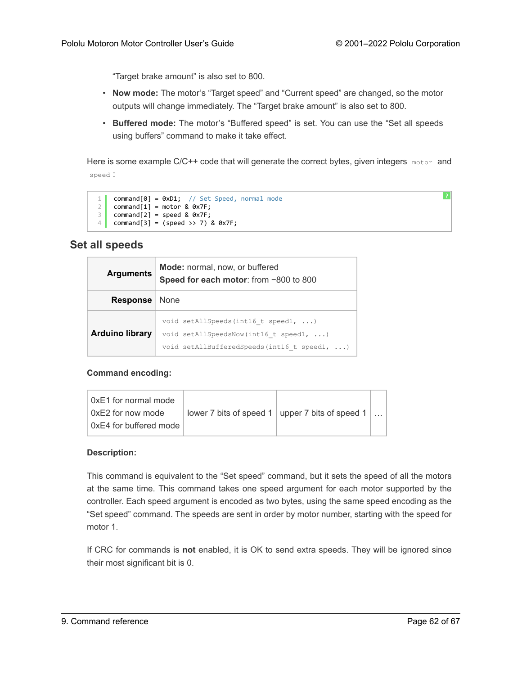[?](#page-0-0)

"Target brake amount" is also set to 800.

- **Now mode:** The motor's "Target speed" and "Current speed" are changed, so the motor outputs will change immediately. The "Target brake amount" is also set to 800.
- **Buffered mode:** The motor's "Buffered speed" is set. You can use the "Set all speeds using buffers" command to make it take effect.

Here is some example C/C++ code that will generate the correct bytes, given integers motor and speed :

```
1
2
3
4
command[3] = (speed >> 7) & 0x7F;
    command[0] = 0xD1; // Set Speed, normal mode
    command[1] = motor & 0x7F;command[2] = speed & 0 x7F;
```
#### <span id="page-61-0"></span>**Set all speeds**

| <b>Arguments</b>       | <b>Mode:</b> normal, now, or buffered<br>Speed for each motor: from -800 to 800                                                                 |  |
|------------------------|-------------------------------------------------------------------------------------------------------------------------------------------------|--|
| <b>Response</b>   None |                                                                                                                                                 |  |
| <b>Arduino library</b> | void setAllSpeeds (int16 t speed1, $\ldots$ )<br>void setAllSpeedsNow(int16 t speed1, $\ldots$ )<br>void setAllBufferedSpeeds(int16 t speed1, ) |  |

#### **Command encoding:**

| ∣ 0xE1 for normal mode |                                                                        |  |
|------------------------|------------------------------------------------------------------------|--|
| 0xE2 for now mode      | lower 7 bits of speed 1   upper 7 bits of speed 1 $\vert \ldots \vert$ |  |
| 0xE4 for buffered mode |                                                                        |  |

#### **Description:**

This command is equivalent to the "Set speed" command, but it sets the speed of all the motors at the same time. This command takes one speed argument for each motor supported by the controller. Each speed argument is encoded as two bytes, using the same speed encoding as the "Set speed" command. The speeds are sent in order by motor number, starting with the speed for motor 1.

If CRC for commands is **not** enabled, it is OK to send extra speeds. They will be ignored since their most significant bit is 0.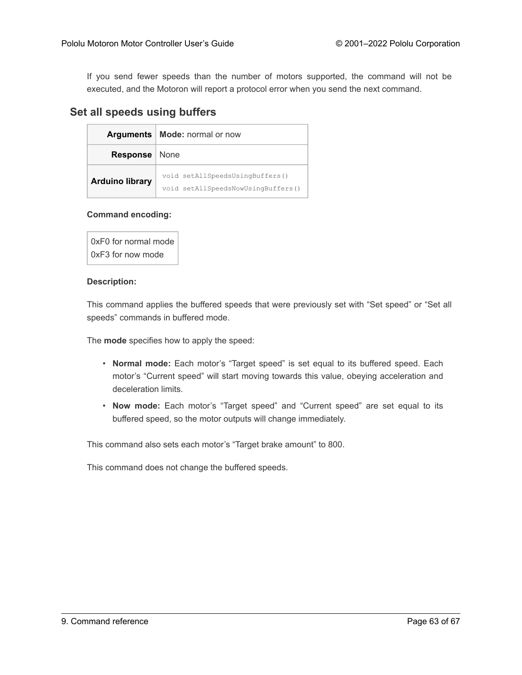If you send fewer speeds than the number of motors supported, the command will not be executed, and the Motoron will report a protocol error when you send the next command.

#### <span id="page-62-0"></span>**Set all speeds using buffers**

|                        | Arguments   Mode: normal or now                                       |  |
|------------------------|-----------------------------------------------------------------------|--|
| <b>Response</b>   None |                                                                       |  |
| <b>Arduino library</b> | void setAllSpeedsUsingBuffers()<br>void setAllSpeedsNowUsingBuffers() |  |

#### **Command encoding:**

0xF0 for normal mode 0xF3 for now mode

#### **Description:**

This command applies the buffered speeds that were previously set with "Set speed" or "Set all speeds" commands in buffered mode.

The **mode** specifies how to apply the speed:

- **Normal mode:** Each motor's "Target speed" is set equal to its buffered speed. Each motor's "Current speed" will start moving towards this value, obeying acceleration and deceleration limits.
- **Now mode:** Each motor's "Target speed" and "Current speed" are set equal to its buffered speed, so the motor outputs will change immediately.

This command also sets each motor's "Target brake amount" to 800.

This command does not change the buffered speeds.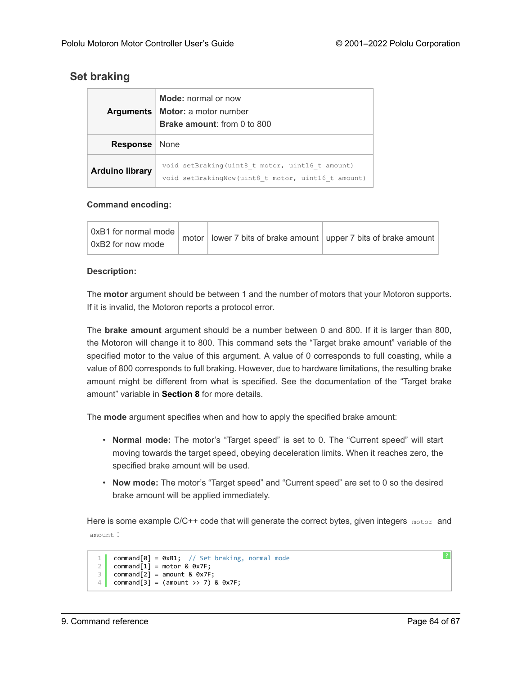# <span id="page-63-0"></span>**Set braking**

| <b>Arguments</b>       | <b>Mode:</b> normal or now<br><b>Motor:</b> a motor number<br><b>Brake amount:</b> from 0 to 800       |  |
|------------------------|--------------------------------------------------------------------------------------------------------|--|
| <b>Response</b>        | None                                                                                                   |  |
| <b>Arduino library</b> | void setBraking(uint8 t motor, uint16 t amount)<br>void setBrakingNow (uint8 t motor, uint16 t amount) |  |

#### **Command encoding:**

| 0xB1 for normal mode |  |  | , motor $ $ lower 7 bits of brake amount $ $ upper 7 bits of brake amount $ $ |
|----------------------|--|--|-------------------------------------------------------------------------------|
| 0xB2 for now mode    |  |  |                                                                               |

#### **Description:**

The **motor** argument should be between 1 and the number of motors that your Motoron supports. If it is invalid, the Motoron reports a protocol error.

The **brake amount** argument should be a number between 0 and 800. If it is larger than 800, the Motoron will change it to 800. This command sets the "Target brake amount" variable of the specified motor to the value of this argument. A value of 0 corresponds to full coasting, while a value of 800 corresponds to full braking. However, due to hardware limitations, the resulting brake amount might be different from what is specified. See the documentation of the "Target brake amount" variable in **[Section 8](#page-31-0)** for more details.

The **mode** argument specifies when and how to apply the specified brake amount:

- **Normal mode:** The motor's "Target speed" is set to 0. The "Current speed" will start moving towards the target speed, obeying deceleration limits. When it reaches zero, the specified brake amount will be used.
- **Now mode:** The motor's "Target speed" and "Current speed" are set to 0 so the desired brake amount will be applied immediately.

Here is some example  $C/C++$  code that will generate the correct bytes, given integers  $_{\text{motor}}$  and amount :

```
1
\overline{2}3
4
    command[0] = 0xB1; // Set braking, normal mode
    command[1] = motor & 0x7F;command[2] = amount & 0x7F;command[3] = (amount \gg 7) & 0x7F;
```
[?](#page-0-0)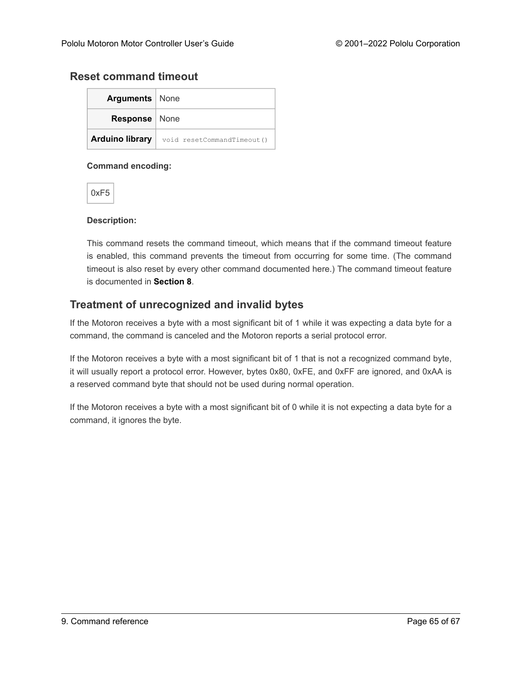#### <span id="page-64-0"></span>**Reset command timeout**

| <b>Arguments</b>   None |                            |  |  |
|-------------------------|----------------------------|--|--|
| <b>Response</b>   None  |                            |  |  |
| <b>Arduino library</b>  | void resetCommandTimeout() |  |  |

#### **Command encoding:**

0xF5

#### **Description:**

This command resets the command timeout, which means that if the command timeout feature is enabled, this command prevents the timeout from occurring for some time. (The command timeout is also reset by every other command documented here.) The command timeout feature is documented in **[Section 8](#page-31-0)**.

#### **Treatment of unrecognized and invalid bytes**

If the Motoron receives a byte with a most significant bit of 1 while it was expecting a data byte for a command, the command is canceled and the Motoron reports a serial protocol error.

If the Motoron receives a byte with a most significant bit of 1 that is not a recognized command byte, it will usually report a protocol error. However, bytes 0x80, 0xFE, and 0xFF are ignored, and 0xAA is a reserved command byte that should not be used during normal operation.

If the Motoron receives a byte with a most significant bit of 0 while it is not expecting a data byte for a command, it ignores the byte.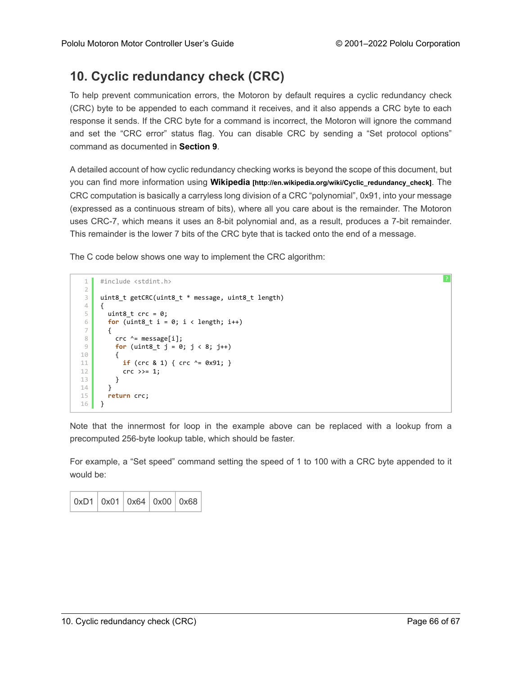# <span id="page-65-0"></span>**10. Cyclic redundancy check (CRC)**

To help prevent communication errors, the Motoron by default requires a cyclic redundancy check (CRC) byte to be appended to each command it receives, and it also appends a CRC byte to each response it sends. If the CRC byte for a command is incorrect, the Motoron will ignore the command and set the "CRC error" status flag. You can disable CRC by sending a "Set protocol options" command as documented in **[Section 9](#page-50-0)**.

A detailed account of how cyclic redundancy checking works is beyond the scope of this document, but you can find more information using **Wikipedia [\[http://en.wikipedia.org/wiki/Cyclic\\_redundancy\\_check\]](http://en.wikipedia.org/wiki/Cyclic_redundancy_check)**. The CRC computation is basically a carryless long division of a CRC "polynomial", 0x91, into your message (expressed as a continuous stream of bits), where all you care about is the remainder. The Motoron uses CRC-7, which means it uses an 8-bit polynomial and, as a result, produces a 7-bit remainder. This remainder is the lower 7 bits of the CRC byte that is tacked onto the end of a message.

The C code below shows one way to implement the CRC algorithm:

```
1
\mathcal{I}3
4
5
6
7
8
9
10
11
12
13
14
15
16
     #include <stdint.h>
     uint8_t getCRC(uint8_t * message, uint8_t length)
     {
       uint8_t crc = 0;
       for (uint8_t i = 0; i < length; i++){
         crc ^= message[i];
         for (uint8_t j = 0; j < 8; j++){
           if (crc & 1) { crc ^= 0x91; }
           crc \gg= 1;
         }
       }
       return crc;
     }
```
Note that the innermost for loop in the example above can be replaced with a lookup from a precomputed 256-byte lookup table, which should be faster.

For example, a "Set speed" command setting the speed of 1 to 100 with a CRC byte appended to it would be:

| 0xD1   0x01   0x64   0x00   0x68 |  |  |  |  |
|----------------------------------|--|--|--|--|
|----------------------------------|--|--|--|--|

[?](#page-0-0)